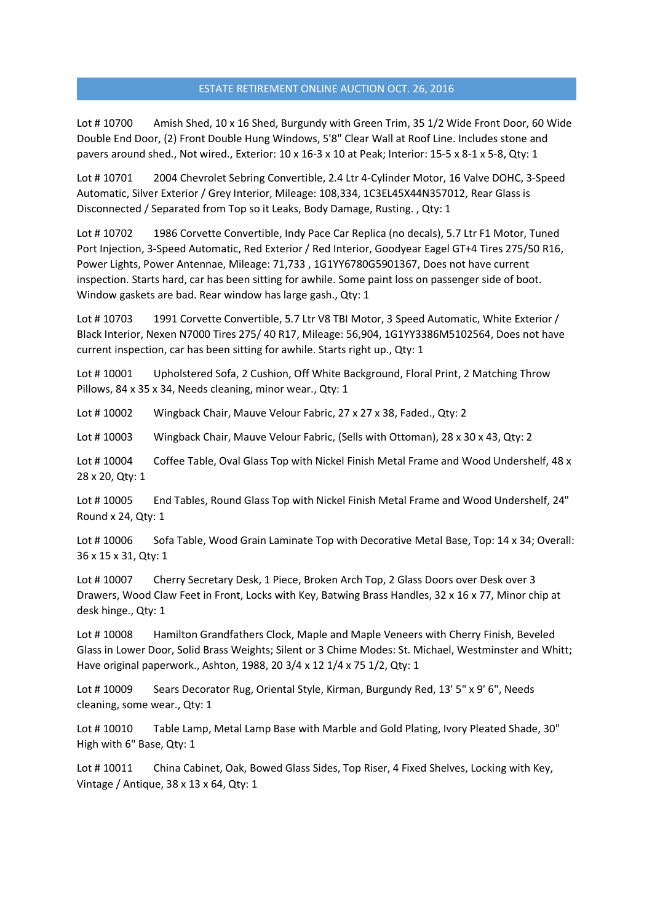Lot # 10700 Amish Shed, 10 x 16 Shed, Burgundy with Green Trim, 35 1/2 Wide Front Door, 60 Wide Double End Door, (2) Front Double Hung Windows, 5'8" Clear Wall at Roof Line. Includes stone and pavers around shed., Not wired., Exterior: 10 x 16-3 x 10 at Peak; Interior: 15-5 x 8-1 x 5-8, Qty: 1

Lot # 10701 2004 Chevrolet Sebring Convertible, 2.4 Ltr 4-Cylinder Motor, 16 Valve DOHC, 3-Speed Automatic, Silver Exterior / Grey Interior, Mileage: 108,334, 1C3EL45X44N357012, Rear Glass is Disconnected / Separated from Top so it Leaks, Body Damage, Rusting. , Qty: 1

Lot #10702 1986 Corvette Convertible, Indy Pace Car Replica (no decals), 5.7 Ltr F1 Motor, Tuned Port Injection, 3-Speed Automatic, Red Exterior / Red Interior, Goodyear Eagel GT+4 Tires 275/50 R16, Power Lights, Power Antennae, Mileage: 71,733 , 1G1YY6780G5901367, Does not have current inspection. Starts hard, car has been sitting for awhile. Some paint loss on passenger side of boot. Window gaskets are bad. Rear window has large gash., Qty: 1

Lot #10703 1991 Corvette Convertible, 5.7 Ltr V8 TBI Motor, 3 Speed Automatic, White Exterior / Black Interior, Nexen N7000 Tires 275/ 40 R17, Mileage: 56,904, 1G1YY3386M5102564, Does not have current inspection, car has been sitting for awhile. Starts right up., Qty: 1

Lot #10001 Upholstered Sofa, 2 Cushion, Off White Background, Floral Print, 2 Matching Throw Pillows, 84 x 35 x 34, Needs cleaning, minor wear., Qty: 1

Lot # 10002 Wingback Chair, Mauve Velour Fabric, 27 x 27 x 38, Faded., Qty: 2

Lot #10003 Wingback Chair, Mauve Velour Fabric, (Sells with Ottoman), 28 x 30 x 43, Qty: 2

Lot #10004 Coffee Table, Oval Glass Top with Nickel Finish Metal Frame and Wood Undershelf, 48 x 28 x 20, Qty: 1

Lot # 10005 End Tables, Round Glass Top with Nickel Finish Metal Frame and Wood Undershelf, 24" Round x 24, Qty: 1

Lot #10006 Sofa Table, Wood Grain Laminate Top with Decorative Metal Base, Top: 14 x 34; Overall: 36 x 15 x 31, Qty: 1

Lot # 10007 Cherry Secretary Desk, 1 Piece, Broken Arch Top, 2 Glass Doors over Desk over 3 Drawers, Wood Claw Feet in Front, Locks with Key, Batwing Brass Handles, 32 x 16 x 77, Minor chip at desk hinge., Qty: 1

Lot #10008 Hamilton Grandfathers Clock, Maple and Maple Veneers with Cherry Finish, Beveled Glass in Lower Door, Solid Brass Weights; Silent or 3 Chime Modes: St. Michael, Westminster and Whitt; Have original paperwork., Ashton, 1988, 20 3/4 x 12 1/4 x 75 1/2, Qty: 1

Lot #10009 Sears Decorator Rug, Oriental Style, Kirman, Burgundy Red, 13' 5" x 9' 6", Needs cleaning, some wear., Qty: 1

Lot #10010 Table Lamp, Metal Lamp Base with Marble and Gold Plating, Ivory Pleated Shade, 30" High with 6" Base, Qty: 1

Lot #10011 China Cabinet, Oak, Bowed Glass Sides, Top Riser, 4 Fixed Shelves, Locking with Key, Vintage / Antique, 38 x 13 x 64, Qty: 1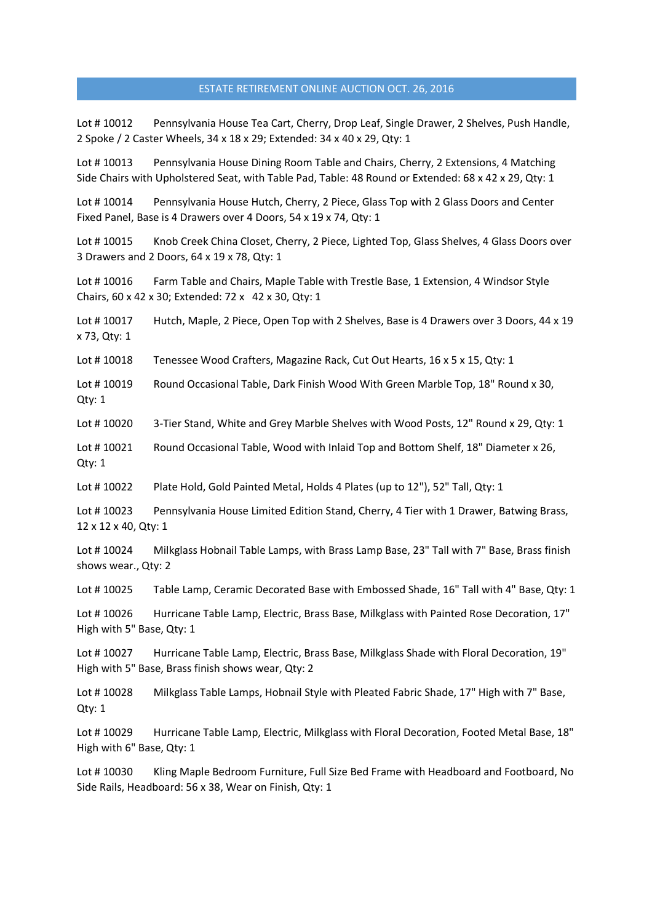Lot #10012 Pennsylvania House Tea Cart, Cherry, Drop Leaf, Single Drawer, 2 Shelves, Push Handle, 2 Spoke / 2 Caster Wheels, 34 x 18 x 29; Extended: 34 x 40 x 29, Qty: 1

Lot #10013 Pennsylvania House Dining Room Table and Chairs, Cherry, 2 Extensions, 4 Matching Side Chairs with Upholstered Seat, with Table Pad, Table: 48 Round or Extended: 68 x 42 x 29, Qty: 1

Lot #10014 Pennsylvania House Hutch, Cherry, 2 Piece, Glass Top with 2 Glass Doors and Center Fixed Panel, Base is 4 Drawers over 4 Doors, 54 x 19 x 74, Qty: 1

Lot #10015 Knob Creek China Closet, Cherry, 2 Piece, Lighted Top, Glass Shelves, 4 Glass Doors over 3 Drawers and 2 Doors, 64 x 19 x 78, Qty: 1

Lot #10016 Farm Table and Chairs, Maple Table with Trestle Base, 1 Extension, 4 Windsor Style Chairs, 60 x 42 x 30; Extended: 72 x 42 x 30, Qty: 1

Lot #10017 Hutch, Maple, 2 Piece, Open Top with 2 Shelves, Base is 4 Drawers over 3 Doors, 44 x 19 x 73, Qty: 1

Lot #10018 Tenessee Wood Crafters, Magazine Rack, Cut Out Hearts, 16 x 5 x 15, Qty: 1

Lot #10019 Round Occasional Table, Dark Finish Wood With Green Marble Top, 18" Round x 30, Qty: 1

Lot #10020 3-Tier Stand, White and Grey Marble Shelves with Wood Posts, 12" Round x 29, Qty: 1

Lot #10021 Round Occasional Table, Wood with Inlaid Top and Bottom Shelf, 18" Diameter x 26, Qty: 1

Lot # 10022 Plate Hold, Gold Painted Metal, Holds 4 Plates (up to 12"), 52" Tall, Qty: 1

Lot #10023 Pennsylvania House Limited Edition Stand, Cherry, 4 Tier with 1 Drawer, Batwing Brass, 12 x 12 x 40, Qty: 1

Lot # 10024 Milkglass Hobnail Table Lamps, with Brass Lamp Base, 23" Tall with 7" Base, Brass finish shows wear., Qty: 2

Lot #10025 Table Lamp, Ceramic Decorated Base with Embossed Shade, 16" Tall with 4" Base, Qty: 1

Lot #10026 Hurricane Table Lamp, Electric, Brass Base, Milkglass with Painted Rose Decoration, 17" High with 5" Base, Qty: 1

Lot # 10027 Hurricane Table Lamp, Electric, Brass Base, Milkglass Shade with Floral Decoration, 19" High with 5" Base, Brass finish shows wear, Qty: 2

Lot #10028 Milkglass Table Lamps, Hobnail Style with Pleated Fabric Shade, 17" High with 7" Base, Qty: 1

Lot #10029 Hurricane Table Lamp, Electric, Milkglass with Floral Decoration, Footed Metal Base, 18" High with 6" Base, Qty: 1

Lot # 10030 Kling Maple Bedroom Furniture, Full Size Bed Frame with Headboard and Footboard, No Side Rails, Headboard: 56 x 38, Wear on Finish, Qty: 1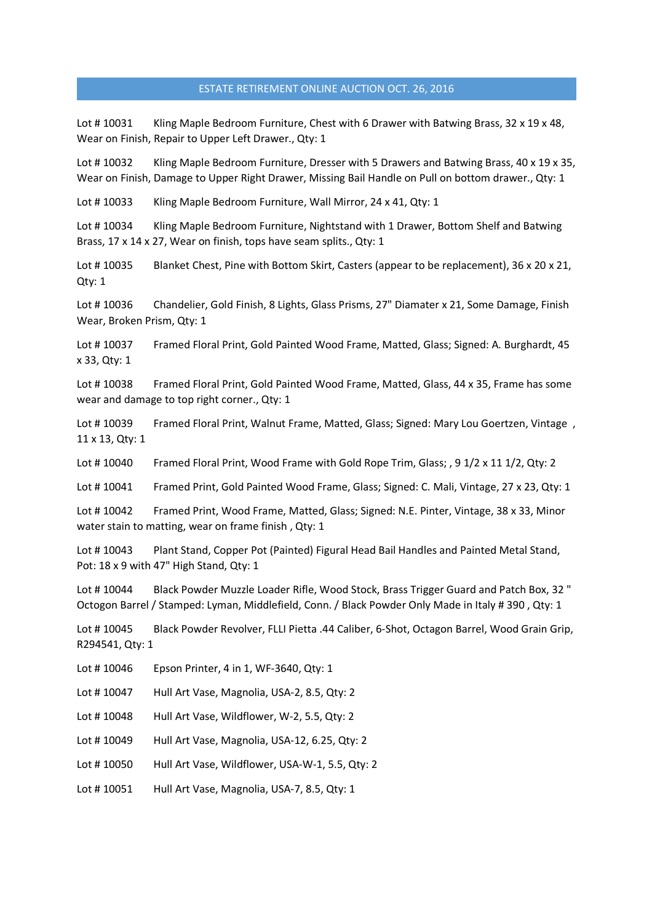Lot #10031 Kling Maple Bedroom Furniture, Chest with 6 Drawer with Batwing Brass, 32 x 19 x 48, Wear on Finish, Repair to Upper Left Drawer., Qty: 1

Lot #10032 Kling Maple Bedroom Furniture, Dresser with 5 Drawers and Batwing Brass, 40 x 19 x 35, Wear on Finish, Damage to Upper Right Drawer, Missing Bail Handle on Pull on bottom drawer., Qty: 1

Lot #10033 Kling Maple Bedroom Furniture, Wall Mirror, 24 x 41, Qty: 1

Lot # 10034 Kling Maple Bedroom Furniture, Nightstand with 1 Drawer, Bottom Shelf and Batwing Brass, 17 x 14 x 27, Wear on finish, tops have seam splits., Qty: 1

Lot #10035 Blanket Chest, Pine with Bottom Skirt, Casters (appear to be replacement), 36 x 20 x 21, Qty: 1

Lot # 10036 Chandelier, Gold Finish, 8 Lights, Glass Prisms, 27" Diamater x 21, Some Damage, Finish Wear, Broken Prism, Qty: 1

Lot # 10037 Framed Floral Print, Gold Painted Wood Frame, Matted, Glass; Signed: A. Burghardt, 45 x 33, Qty: 1

Lot # 10038 Framed Floral Print, Gold Painted Wood Frame, Matted, Glass, 44 x 35, Frame has some wear and damage to top right corner., Qty: 1

Lot # 10039 Framed Floral Print, Walnut Frame, Matted, Glass; Signed: Mary Lou Goertzen, Vintage , 11 x 13, Qty: 1

Lot #10040 Framed Floral Print, Wood Frame with Gold Rope Trim, Glass; , 91/2 x 111/2, Qty: 2

Lot #10041 Framed Print, Gold Painted Wood Frame, Glass; Signed: C. Mali, Vintage, 27 x 23, Qty: 1

Lot # 10042 Framed Print, Wood Frame, Matted, Glass; Signed: N.E. Pinter, Vintage, 38 x 33, Minor water stain to matting, wear on frame finish , Qty: 1

Lot # 10043 Plant Stand, Copper Pot (Painted) Figural Head Bail Handles and Painted Metal Stand, Pot: 18 x 9 with 47" High Stand, Qty: 1

Lot # 10044 Black Powder Muzzle Loader Rifle, Wood Stock, Brass Trigger Guard and Patch Box, 32 " Octogon Barrel / Stamped: Lyman, Middlefield, Conn. / Black Powder Only Made in Italy # 390 , Qty: 1

Lot # 10045 Black Powder Revolver, FLLI Pietta .44 Caliber, 6-Shot, Octagon Barrel, Wood Grain Grip, R294541, Qty: 1

- Lot # 10046 Epson Printer, 4 in 1, WF-3640, Qty: 1
- Lot #10047 Hull Art Vase, Magnolia, USA-2, 8.5, Qty: 2
- Lot # 10048 Hull Art Vase, Wildflower, W-2, 5.5, Qty: 2
- Lot # 10049 Hull Art Vase, Magnolia, USA-12, 6.25, Qty: 2
- Lot #10050 Hull Art Vase, Wildflower, USA-W-1, 5.5, Qty: 2
- Lot # 10051 Hull Art Vase, Magnolia, USA-7, 8.5, Qty: 1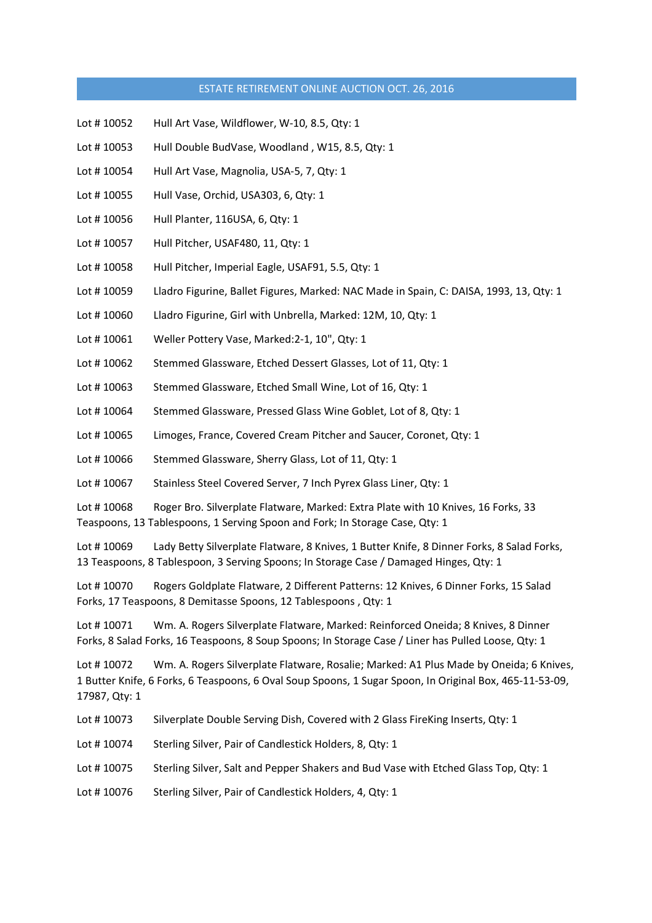- Lot # 10052 Hull Art Vase, Wildflower, W-10, 8.5, Qty: 1
- Lot #10053 Hull Double BudVase, Woodland, W15, 8.5, Qty: 1
- Lot #10054 Hull Art Vase, Magnolia, USA-5, 7, Qty: 1
- Lot # 10055 Hull Vase, Orchid, USA303, 6, Qty: 1
- Lot # 10056 Hull Planter, 116USA, 6, Qty: 1
- Lot # 10057 Hull Pitcher, USAF480, 11, Qty: 1
- Lot #10058 Hull Pitcher, Imperial Eagle, USAF91, 5.5, Qty: 1
- Lot # 10059 Lladro Figurine, Ballet Figures, Marked: NAC Made in Spain, C: DAISA, 1993, 13, Qty: 1
- Lot #10060 Lladro Figurine, Girl with Unbrella, Marked: 12M, 10, Qty: 1
- Lot #10061 Weller Pottery Vase, Marked: 2-1, 10", Qty: 1
- Lot #10062 Stemmed Glassware, Etched Dessert Glasses, Lot of 11, Qty: 1
- Lot #10063 Stemmed Glassware, Etched Small Wine, Lot of 16, Qty: 1
- Lot #10064 Stemmed Glassware, Pressed Glass Wine Goblet, Lot of 8, Qty: 1
- Lot # 10065 Limoges, France, Covered Cream Pitcher and Saucer, Coronet, Qty: 1
- Lot #10066 Stemmed Glassware, Sherry Glass, Lot of 11, Qty: 1
- Lot #10067 Stainless Steel Covered Server, 7 Inch Pyrex Glass Liner, Qty: 1

Lot #10068 Roger Bro. Silverplate Flatware, Marked: Extra Plate with 10 Knives, 16 Forks, 33 Teaspoons, 13 Tablespoons, 1 Serving Spoon and Fork; In Storage Case, Qty: 1

Lot # 10069 Lady Betty Silverplate Flatware, 8 Knives, 1 Butter Knife, 8 Dinner Forks, 8 Salad Forks, 13 Teaspoons, 8 Tablespoon, 3 Serving Spoons; In Storage Case / Damaged Hinges, Qty: 1

Lot # 10070 Rogers Goldplate Flatware, 2 Different Patterns: 12 Knives, 6 Dinner Forks, 15 Salad Forks, 17 Teaspoons, 8 Demitasse Spoons, 12 Tablespoons , Qty: 1

Lot # 10071 Wm. A. Rogers Silverplate Flatware, Marked: Reinforced Oneida; 8 Knives, 8 Dinner Forks, 8 Salad Forks, 16 Teaspoons, 8 Soup Spoons; In Storage Case / Liner has Pulled Loose, Qty: 1

Lot # 10072 Wm. A. Rogers Silverplate Flatware, Rosalie; Marked: A1 Plus Made by Oneida; 6 Knives, 1 Butter Knife, 6 Forks, 6 Teaspoons, 6 Oval Soup Spoons, 1 Sugar Spoon, In Original Box, 465-11-53-09, 17987, Qty: 1

- Lot # 10073 Silverplate Double Serving Dish, Covered with 2 Glass FireKing Inserts, Qty: 1
- Lot #10074 Sterling Silver, Pair of Candlestick Holders, 8, Qty: 1
- Lot #10075 Sterling Silver, Salt and Pepper Shakers and Bud Vase with Etched Glass Top, Qty: 1
- Lot #10076 Sterling Silver, Pair of Candlestick Holders, 4, Qty: 1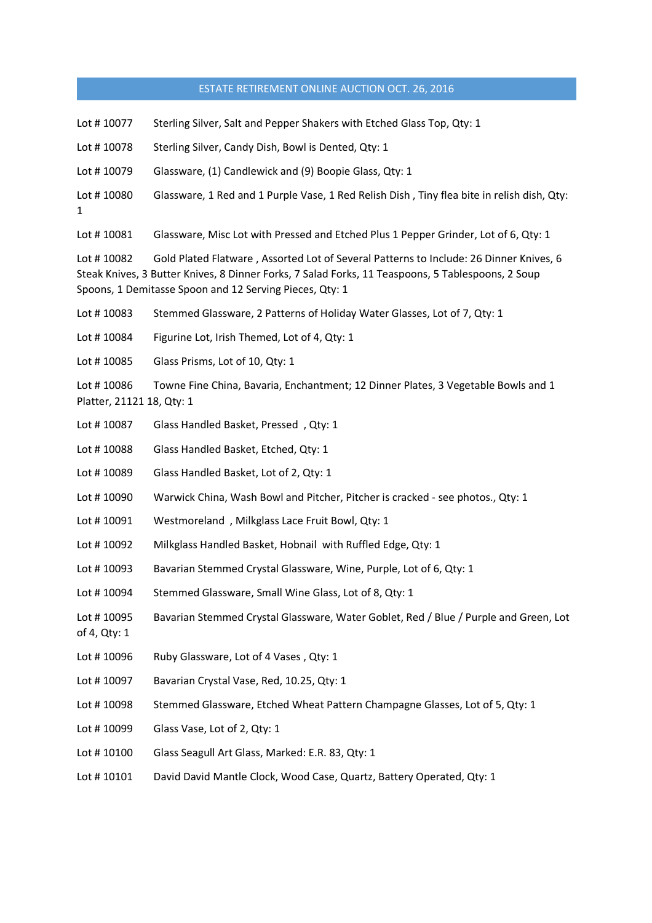| Lot #10077                                                                                                                                                                                                                                                           | Sterling Silver, Salt and Pepper Shakers with Etched Glass Top, Qty: 1                     |  |
|----------------------------------------------------------------------------------------------------------------------------------------------------------------------------------------------------------------------------------------------------------------------|--------------------------------------------------------------------------------------------|--|
| Lot #10078                                                                                                                                                                                                                                                           | Sterling Silver, Candy Dish, Bowl is Dented, Qty: 1                                        |  |
| Lot #10079                                                                                                                                                                                                                                                           | Glassware, (1) Candlewick and (9) Boopie Glass, Qty: 1                                     |  |
| Lot #10080<br>1                                                                                                                                                                                                                                                      | Glassware, 1 Red and 1 Purple Vase, 1 Red Relish Dish, Tiny flea bite in relish dish, Qty: |  |
| Lot #10081                                                                                                                                                                                                                                                           | Glassware, Misc Lot with Pressed and Etched Plus 1 Pepper Grinder, Lot of 6, Qty: 1        |  |
| Gold Plated Flatware, Assorted Lot of Several Patterns to Include: 26 Dinner Knives, 6<br>Lot #10082<br>Steak Knives, 3 Butter Knives, 8 Dinner Forks, 7 Salad Forks, 11 Teaspoons, 5 Tablespoons, 2 Soup<br>Spoons, 1 Demitasse Spoon and 12 Serving Pieces, Qty: 1 |                                                                                            |  |
| Lot #10083                                                                                                                                                                                                                                                           | Stemmed Glassware, 2 Patterns of Holiday Water Glasses, Lot of 7, Qty: 1                   |  |
| Lot #10084                                                                                                                                                                                                                                                           | Figurine Lot, Irish Themed, Lot of 4, Qty: 1                                               |  |
| Lot #10085                                                                                                                                                                                                                                                           | Glass Prisms, Lot of 10, Qty: 1                                                            |  |
| Lot #10086<br>Towne Fine China, Bavaria, Enchantment; 12 Dinner Plates, 3 Vegetable Bowls and 1<br>Platter, 21121 18, Qty: 1                                                                                                                                         |                                                                                            |  |
| Lot #10087                                                                                                                                                                                                                                                           | Glass Handled Basket, Pressed, Qty: 1                                                      |  |
| Lot #10088                                                                                                                                                                                                                                                           | Glass Handled Basket, Etched, Qty: 1                                                       |  |
| Lot #10089                                                                                                                                                                                                                                                           | Glass Handled Basket, Lot of 2, Qty: 1                                                     |  |
| Lot # 10090                                                                                                                                                                                                                                                          | Warwick China, Wash Bowl and Pitcher, Pitcher is cracked - see photos., Qty: 1             |  |
| Lot #10091                                                                                                                                                                                                                                                           | Westmoreland, Milkglass Lace Fruit Bowl, Qty: 1                                            |  |
| Lot #10092                                                                                                                                                                                                                                                           | Milkglass Handled Basket, Hobnail with Ruffled Edge, Qty: 1                                |  |
| Lot #10093                                                                                                                                                                                                                                                           | Bavarian Stemmed Crystal Glassware, Wine, Purple, Lot of 6, Qty: 1                         |  |
| Lot #10094                                                                                                                                                                                                                                                           | Stemmed Glassware, Small Wine Glass, Lot of 8, Qty: 1                                      |  |
| Lot #10095<br>of 4, Qty: 1                                                                                                                                                                                                                                           | Bavarian Stemmed Crystal Glassware, Water Goblet, Red / Blue / Purple and Green, Lot       |  |
| Lot #10096                                                                                                                                                                                                                                                           | Ruby Glassware, Lot of 4 Vases, Qty: 1                                                     |  |
| Lot # 10097                                                                                                                                                                                                                                                          | Bavarian Crystal Vase, Red, 10.25, Qty: 1                                                  |  |
| Lot #10098                                                                                                                                                                                                                                                           | Stemmed Glassware, Etched Wheat Pattern Champagne Glasses, Lot of 5, Qty: 1                |  |
| Lot #10099                                                                                                                                                                                                                                                           | Glass Vase, Lot of 2, Qty: 1                                                               |  |
| Lot # 10100                                                                                                                                                                                                                                                          | Glass Seagull Art Glass, Marked: E.R. 83, Qty: 1                                           |  |
| Lot #10101                                                                                                                                                                                                                                                           | David David Mantle Clock, Wood Case, Quartz, Battery Operated, Qty: 1                      |  |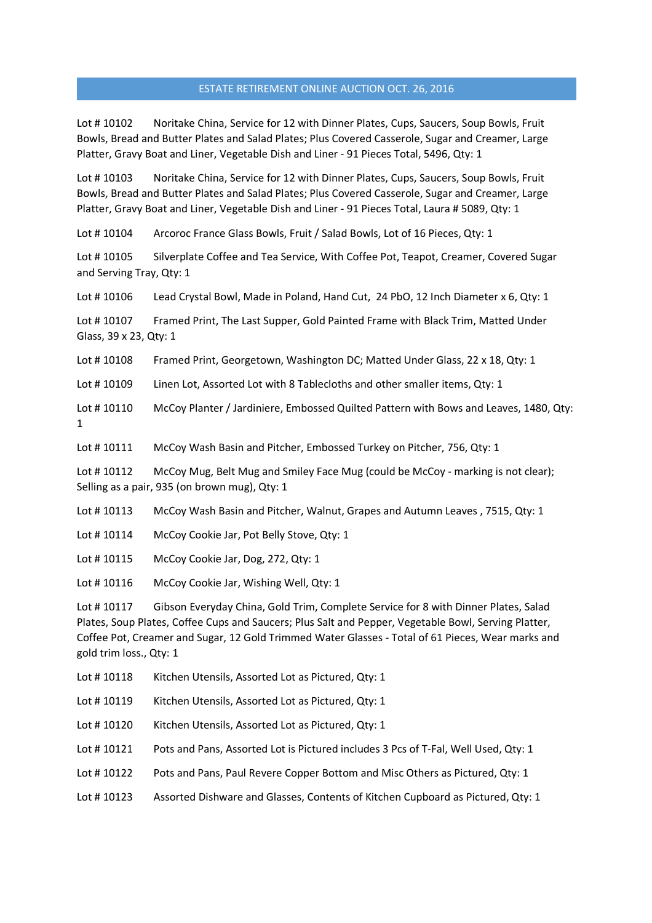Lot # 10102 Noritake China, Service for 12 with Dinner Plates, Cups, Saucers, Soup Bowls, Fruit Bowls, Bread and Butter Plates and Salad Plates; Plus Covered Casserole, Sugar and Creamer, Large Platter, Gravy Boat and Liner, Vegetable Dish and Liner - 91 Pieces Total, 5496, Qty: 1

Lot # 10103 Noritake China, Service for 12 with Dinner Plates, Cups, Saucers, Soup Bowls, Fruit Bowls, Bread and Butter Plates and Salad Plates; Plus Covered Casserole, Sugar and Creamer, Large Platter, Gravy Boat and Liner, Vegetable Dish and Liner - 91 Pieces Total, Laura # 5089, Qty: 1

Lot # 10104 Arcoroc France Glass Bowls, Fruit / Salad Bowls, Lot of 16 Pieces, Qty: 1

Lot # 10105 Silverplate Coffee and Tea Service, With Coffee Pot, Teapot, Creamer, Covered Sugar and Serving Tray, Qty: 1

Lot #10106 Lead Crystal Bowl, Made in Poland, Hand Cut, 24 PbO, 12 Inch Diameter x 6, Qty: 1

Lot #10107 Framed Print, The Last Supper, Gold Painted Frame with Black Trim, Matted Under Glass, 39 x 23, Qty: 1

Lot #10108 Framed Print, Georgetown, Washington DC; Matted Under Glass, 22 x 18, Qty: 1

Lot #10109 Linen Lot, Assorted Lot with 8 Tablecloths and other smaller items, Qty: 1

Lot #10110 McCoy Planter / Jardiniere, Embossed Quilted Pattern with Bows and Leaves, 1480, Qty: 1

Lot #10111 McCoy Wash Basin and Pitcher, Embossed Turkey on Pitcher, 756, Qty: 1

Lot #10112 McCoy Mug, Belt Mug and Smiley Face Mug (could be McCoy - marking is not clear); Selling as a pair, 935 (on brown mug), Qty: 1

Lot # 10113 McCoy Wash Basin and Pitcher, Walnut, Grapes and Autumn Leaves , 7515, Qty: 1

- Lot # 10114 McCoy Cookie Jar, Pot Belly Stove, Qty: 1
- Lot # 10115 McCoy Cookie Jar, Dog, 272, Qty: 1
- Lot #10116 McCoy Cookie Jar, Wishing Well, Qty: 1

Lot # 10117 Gibson Everyday China, Gold Trim, Complete Service for 8 with Dinner Plates, Salad Plates, Soup Plates, Coffee Cups and Saucers; Plus Salt and Pepper, Vegetable Bowl, Serving Platter, Coffee Pot, Creamer and Sugar, 12 Gold Trimmed Water Glasses - Total of 61 Pieces, Wear marks and gold trim loss., Qty: 1

- Lot #10118 Kitchen Utensils, Assorted Lot as Pictured, Qty: 1
- Lot #10119 Kitchen Utensils, Assorted Lot as Pictured, Qty: 1
- Lot #10120 Kitchen Utensils, Assorted Lot as Pictured, Qty: 1
- Lot #10121 Pots and Pans, Assorted Lot is Pictured includes 3 Pcs of T-Fal, Well Used, Qty: 1
- Lot #10122 Pots and Pans, Paul Revere Copper Bottom and Misc Others as Pictured, Qty: 1
- Lot #10123 Assorted Dishware and Glasses, Contents of Kitchen Cupboard as Pictured, Qty: 1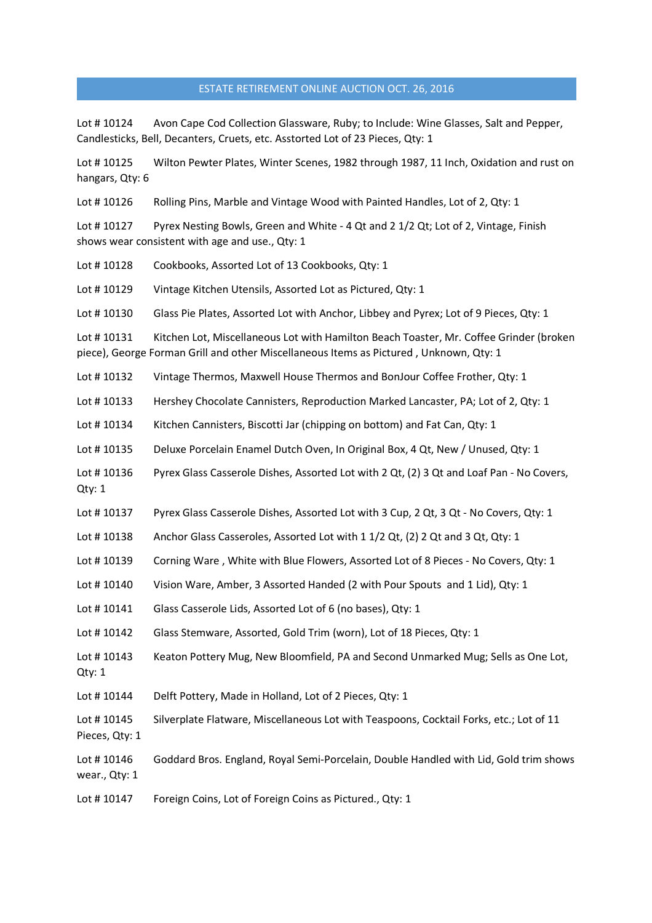Lot #10124 Avon Cape Cod Collection Glassware, Ruby; to Include: Wine Glasses, Salt and Pepper, Candlesticks, Bell, Decanters, Cruets, etc. Asstorted Lot of 23 Pieces, Qty: 1

Lot # 10125 Wilton Pewter Plates, Winter Scenes, 1982 through 1987, 11 Inch, Oxidation and rust on hangars, Qty: 6

Lot #10126 Rolling Pins, Marble and Vintage Wood with Painted Handles, Lot of 2, Qty: 1

Lot #10127 Pyrex Nesting Bowls, Green and White - 4 Qt and 21/2 Qt; Lot of 2, Vintage, Finish shows wear consistent with age and use., Qty: 1

Lot #10128 Cookbooks, Assorted Lot of 13 Cookbooks, Qty: 1

Lot #10129 Vintage Kitchen Utensils, Assorted Lot as Pictured, Qty: 1

Lot # 10130 Glass Pie Plates, Assorted Lot with Anchor, Libbey and Pyrex; Lot of 9 Pieces, Qty: 1

Lot # 10131 Kitchen Lot, Miscellaneous Lot with Hamilton Beach Toaster, Mr. Coffee Grinder (broken piece), George Forman Grill and other Miscellaneous Items as Pictured , Unknown, Qty: 1

Lot # 10132 Vintage Thermos, Maxwell House Thermos and BonJour Coffee Frother, Qty: 1

Lot #10133 Hershey Chocolate Cannisters, Reproduction Marked Lancaster, PA; Lot of 2, Qty: 1

Lot #10134 Kitchen Cannisters, Biscotti Jar (chipping on bottom) and Fat Can, Qty: 1

Lot #10135 Deluxe Porcelain Enamel Dutch Oven, In Original Box, 4 Qt, New / Unused, Qty: 1

Lot #10136 Pyrex Glass Casserole Dishes, Assorted Lot with 2 Qt, (2) 3 Qt and Loaf Pan - No Covers, Qty: 1

Lot #10137 Pyrex Glass Casserole Dishes, Assorted Lot with 3 Cup, 2 Qt, 3 Qt - No Covers, Qty: 1

Lot #10138 Anchor Glass Casseroles, Assorted Lot with 11/2 Qt, (2) 2 Qt and 3 Qt, Qty: 1

Lot #10139 Corning Ware, White with Blue Flowers, Assorted Lot of 8 Pieces - No Covers, Qty: 1

Lot #10140 Vision Ware, Amber, 3 Assorted Handed (2 with Pour Spouts and 1 Lid), Qty: 1

Lot # 10141 Glass Casserole Lids, Assorted Lot of 6 (no bases), Qty: 1

Lot # 10142 Glass Stemware, Assorted, Gold Trim (worn), Lot of 18 Pieces, Qty: 1

Lot #10143 Keaton Pottery Mug, New Bloomfield, PA and Second Unmarked Mug; Sells as One Lot, Qty: 1

Lot #10144 Delft Pottery, Made in Holland, Lot of 2 Pieces, Qty: 1

Lot #10145 Silverplate Flatware, Miscellaneous Lot with Teaspoons, Cocktail Forks, etc.; Lot of 11 Pieces, Qty: 1

Lot #10146 Goddard Bros. England, Royal Semi-Porcelain, Double Handled with Lid, Gold trim shows wear., Qty: 1

Lot #10147 Foreign Coins, Lot of Foreign Coins as Pictured., Qty: 1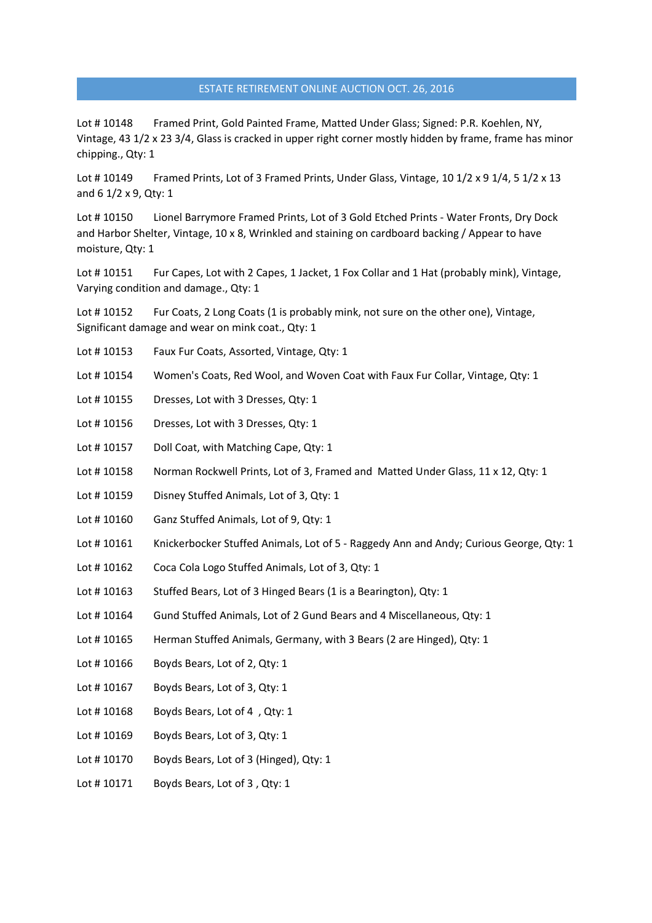Lot #10148 Framed Print, Gold Painted Frame, Matted Under Glass; Signed: P.R. Koehlen, NY, Vintage, 43 1/2 x 23 3/4, Glass is cracked in upper right corner mostly hidden by frame, frame has minor chipping., Qty: 1

Lot #10149 Framed Prints, Lot of 3 Framed Prints, Under Glass, Vintage, 10 1/2 x 9 1/4, 5 1/2 x 13 and 6 1/2 x 9, Qty: 1

Lot # 10150 Lionel Barrymore Framed Prints, Lot of 3 Gold Etched Prints - Water Fronts, Dry Dock and Harbor Shelter, Vintage, 10 x 8, Wrinkled and staining on cardboard backing / Appear to have moisture, Qty: 1

Lot #10151 Fur Capes, Lot with 2 Capes, 1 Jacket, 1 Fox Collar and 1 Hat (probably mink), Vintage, Varying condition and damage., Qty: 1

Lot #10152 Fur Coats, 2 Long Coats (1 is probably mink, not sure on the other one), Vintage, Significant damage and wear on mink coat., Qty: 1

- Lot #10153 Faux Fur Coats, Assorted, Vintage, Qty: 1
- Lot #10154 Women's Coats, Red Wool, and Woven Coat with Faux Fur Collar, Vintage, Qty: 1
- Lot #10155 Dresses, Lot with 3 Dresses, Qty: 1
- Lot #10156 Dresses, Lot with 3 Dresses, Qty: 1
- Lot #10157 Doll Coat, with Matching Cape, Qty: 1
- Lot #10158 Norman Rockwell Prints, Lot of 3, Framed and Matted Under Glass, 11 x 12, Qty: 1
- Lot #10159 Disney Stuffed Animals, Lot of 3, Qty: 1
- Lot #10160 Ganz Stuffed Animals, Lot of 9, Qty: 1
- Lot #10161 Knickerbocker Stuffed Animals, Lot of 5 Raggedy Ann and Andy; Curious George, Qty: 1
- Lot # 10162 Coca Cola Logo Stuffed Animals, Lot of 3, Qty: 1
- Lot #10163 Stuffed Bears, Lot of 3 Hinged Bears (1 is a Bearington), Qty: 1
- Lot # 10164 Gund Stuffed Animals, Lot of 2 Gund Bears and 4 Miscellaneous, Qty: 1
- Lot #10165 Herman Stuffed Animals, Germany, with 3 Bears (2 are Hinged), Qty: 1
- Lot  $\#$  10166 Boyds Bears, Lot of 2, Qty: 1
- Lot #10167 Boyds Bears, Lot of 3, Qty: 1
- Lot #10168 Boyds Bears, Lot of 4, Qty: 1
- Lot #10169 Boyds Bears, Lot of 3, Qty: 1
- Lot # 10170 Boyds Bears, Lot of 3 (Hinged), Qty: 1
- Lot #10171 Boyds Bears, Lot of 3, Qty: 1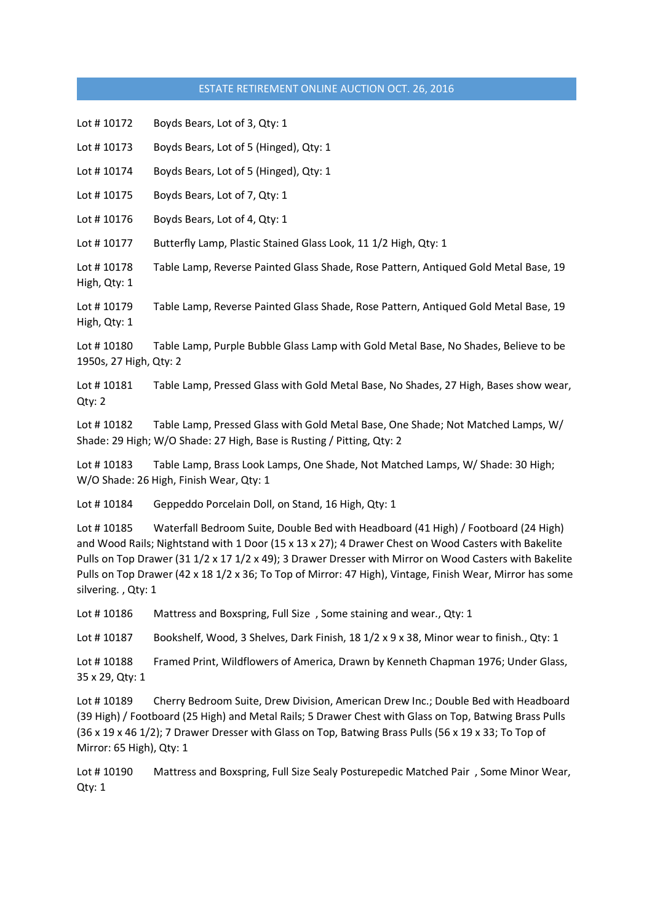Lot #10172 Boyds Bears, Lot of 3, Qty: 1

Lot # 10173 Boyds Bears, Lot of 5 (Hinged), Qty: 1

Lot # 10174 Boyds Bears, Lot of 5 (Hinged), Qty: 1

Lot #10175 Boyds Bears, Lot of 7, Qty: 1

Lot #10176 Boyds Bears, Lot of 4, Qty: 1

Lot # 10177 Butterfly Lamp, Plastic Stained Glass Look, 11 1/2 High, Qty: 1

Lot #10178 Table Lamp, Reverse Painted Glass Shade, Rose Pattern, Antiqued Gold Metal Base, 19 High, Qty: 1

Lot # 10179 Table Lamp, Reverse Painted Glass Shade, Rose Pattern, Antiqued Gold Metal Base, 19 High, Qty: 1

Lot #10180 Table Lamp, Purple Bubble Glass Lamp with Gold Metal Base, No Shades, Believe to be 1950s, 27 High, Qty: 2

Lot # 10181 Table Lamp, Pressed Glass with Gold Metal Base, No Shades, 27 High, Bases show wear, Qty: 2

Lot #10182 Table Lamp, Pressed Glass with Gold Metal Base, One Shade; Not Matched Lamps, W/ Shade: 29 High; W/O Shade: 27 High, Base is Rusting / Pitting, Qty: 2

Lot #10183 Table Lamp, Brass Look Lamps, One Shade, Not Matched Lamps, W/ Shade: 30 High; W/O Shade: 26 High, Finish Wear, Qty: 1

Lot #10184 Geppeddo Porcelain Doll, on Stand, 16 High, Qty: 1

Lot # 10185 Waterfall Bedroom Suite, Double Bed with Headboard (41 High) / Footboard (24 High) and Wood Rails; Nightstand with 1 Door (15 x 13 x 27); 4 Drawer Chest on Wood Casters with Bakelite Pulls on Top Drawer (31 1/2 x 17 1/2 x 49); 3 Drawer Dresser with Mirror on Wood Casters with Bakelite Pulls on Top Drawer (42 x 18 1/2 x 36; To Top of Mirror: 47 High), Vintage, Finish Wear, Mirror has some silvering. , Qty: 1

Lot #10186 Mattress and Boxspring, Full Size, Some staining and wear., Qty: 1

Lot #10187 Bookshelf, Wood, 3 Shelves, Dark Finish, 18 1/2 x 9 x 38, Minor wear to finish., Qty: 1

Lot #10188 Framed Print, Wildflowers of America, Drawn by Kenneth Chapman 1976; Under Glass, 35 x 29, Qty: 1

Lot #10189 Cherry Bedroom Suite, Drew Division, American Drew Inc.; Double Bed with Headboard (39 High) / Footboard (25 High) and Metal Rails; 5 Drawer Chest with Glass on Top, Batwing Brass Pulls (36 x 19 x 46 1/2); 7 Drawer Dresser with Glass on Top, Batwing Brass Pulls (56 x 19 x 33; To Top of Mirror: 65 High), Qty: 1

Lot # 10190 Mattress and Boxspring, Full Size Sealy Posturepedic Matched Pair , Some Minor Wear, Qty: 1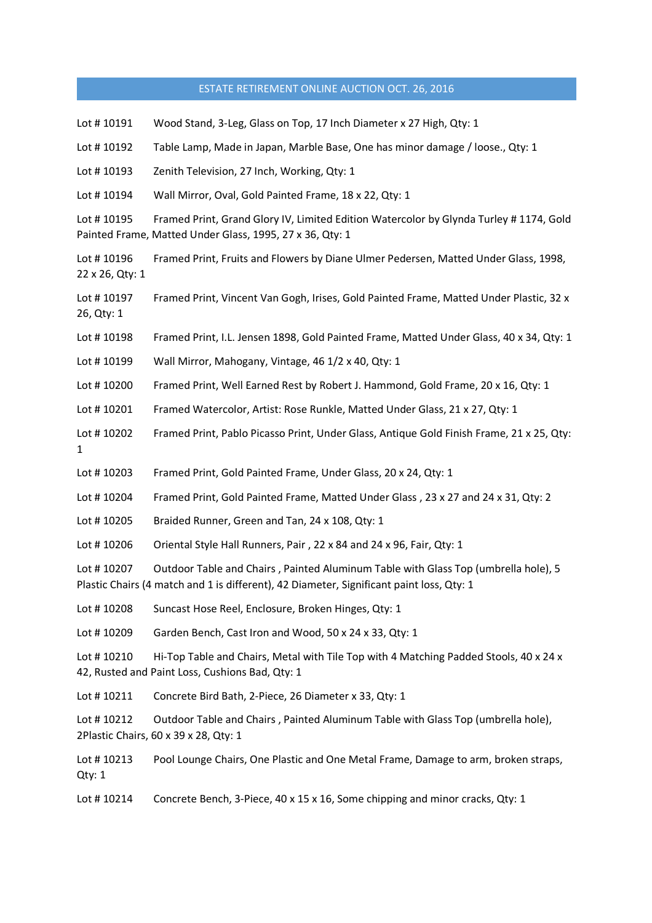| Lot #10191                    | Wood Stand, 3-Leg, Glass on Top, 17 Inch Diameter x 27 High, Qty: 1                                                                                                            |
|-------------------------------|--------------------------------------------------------------------------------------------------------------------------------------------------------------------------------|
| Lot #10192                    | Table Lamp, Made in Japan, Marble Base, One has minor damage / loose., Qty: 1                                                                                                  |
| Lot #10193                    | Zenith Television, 27 Inch, Working, Qty: 1                                                                                                                                    |
| Lot #10194                    | Wall Mirror, Oval, Gold Painted Frame, 18 x 22, Qty: 1                                                                                                                         |
| Lot #10195                    | Framed Print, Grand Glory IV, Limited Edition Watercolor by Glynda Turley #1174, Gold<br>Painted Frame, Matted Under Glass, 1995, 27 x 36, Qty: 1                              |
| Lot #10196<br>22 x 26, Qty: 1 | Framed Print, Fruits and Flowers by Diane Ulmer Pedersen, Matted Under Glass, 1998,                                                                                            |
| Lot #10197<br>26, Qty: 1      | Framed Print, Vincent Van Gogh, Irises, Gold Painted Frame, Matted Under Plastic, 32 x                                                                                         |
| Lot #10198                    | Framed Print, I.L. Jensen 1898, Gold Painted Frame, Matted Under Glass, 40 x 34, Qty: 1                                                                                        |
| Lot #10199                    | Wall Mirror, Mahogany, Vintage, 46 1/2 x 40, Qty: 1                                                                                                                            |
| Lot #10200                    | Framed Print, Well Earned Rest by Robert J. Hammond, Gold Frame, 20 x 16, Qty: 1                                                                                               |
| Lot #10201                    | Framed Watercolor, Artist: Rose Runkle, Matted Under Glass, 21 x 27, Qty: 1                                                                                                    |
| Lot #10202<br>1               | Framed Print, Pablo Picasso Print, Under Glass, Antique Gold Finish Frame, 21 x 25, Qty:                                                                                       |
| Lot #10203                    | Framed Print, Gold Painted Frame, Under Glass, 20 x 24, Qty: 1                                                                                                                 |
| Lot #10204                    | Framed Print, Gold Painted Frame, Matted Under Glass, 23 x 27 and 24 x 31, Qty: 2                                                                                              |
| Lot #10205                    | Braided Runner, Green and Tan, 24 x 108, Qty: 1                                                                                                                                |
| Lot #10206                    | Oriental Style Hall Runners, Pair, 22 x 84 and 24 x 96, Fair, Qty: 1                                                                                                           |
| Lot #10207                    | Outdoor Table and Chairs, Painted Aluminum Table with Glass Top (umbrella hole), 5<br>Plastic Chairs (4 match and 1 is different), 42 Diameter, Significant paint loss, Qty: 1 |
| Lot #10208                    | Suncast Hose Reel, Enclosure, Broken Hinges, Qty: 1                                                                                                                            |
| Lot #10209                    | Garden Bench, Cast Iron and Wood, 50 x 24 x 33, Qty: 1                                                                                                                         |
| Lot #10210                    | Hi-Top Table and Chairs, Metal with Tile Top with 4 Matching Padded Stools, 40 x 24 x<br>42, Rusted and Paint Loss, Cushions Bad, Qty: 1                                       |
| Lot #10211                    | Concrete Bird Bath, 2-Piece, 26 Diameter x 33, Qty: 1                                                                                                                          |
| Lot #10212                    | Outdoor Table and Chairs, Painted Aluminum Table with Glass Top (umbrella hole),<br>2Plastic Chairs, 60 x 39 x 28, Qty: 1                                                      |
| Lot #10213<br>Qty: 1          | Pool Lounge Chairs, One Plastic and One Metal Frame, Damage to arm, broken straps,                                                                                             |
| Lot #10214                    | Concrete Bench, 3-Piece, 40 x 15 x 16, Some chipping and minor cracks, Qty: 1                                                                                                  |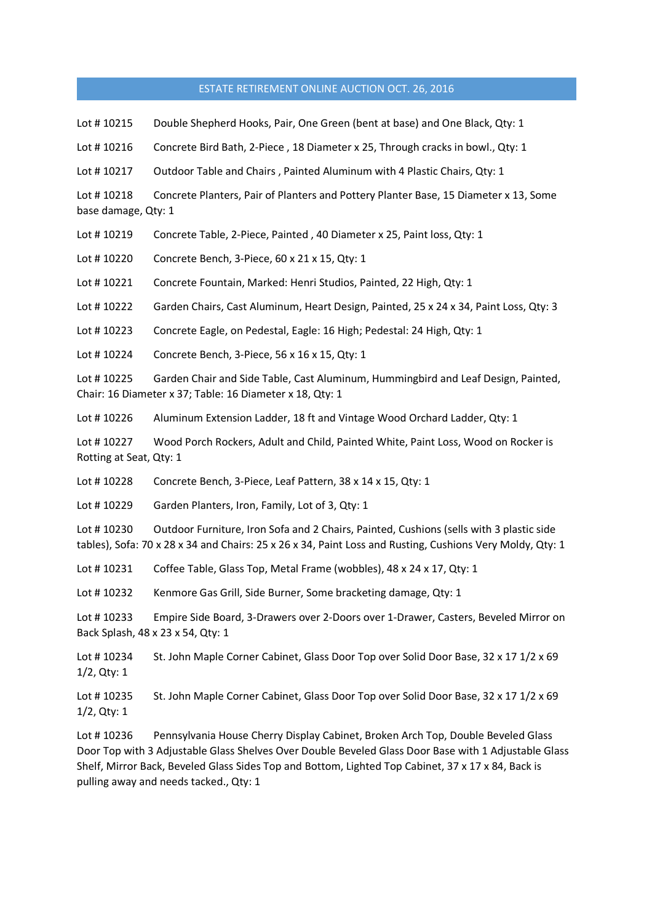Lot #10215 Double Shepherd Hooks, Pair, One Green (bent at base) and One Black, Qty: 1

Lot #10216 Concrete Bird Bath, 2-Piece, 18 Diameter x 25, Through cracks in bowl., Qty: 1

Lot #10217 Outdoor Table and Chairs, Painted Aluminum with 4 Plastic Chairs, Qty: 1

Lot # 10218 Concrete Planters, Pair of Planters and Pottery Planter Base, 15 Diameter x 13, Some base damage, Qty: 1

Lot # 10219 Concrete Table, 2-Piece, Painted , 40 Diameter x 25, Paint loss, Qty: 1

Lot # 10220 Concrete Bench, 3-Piece, 60 x 21 x 15, Qty: 1

Lot # 10221 Concrete Fountain, Marked: Henri Studios, Painted, 22 High, Qty: 1

Lot # 10222 Garden Chairs, Cast Aluminum, Heart Design, Painted, 25 x 24 x 34, Paint Loss, Qty: 3

Lot # 10223 Concrete Eagle, on Pedestal, Eagle: 16 High; Pedestal: 24 High, Qty: 1

Lot # 10224 Concrete Bench, 3-Piece, 56 x 16 x 15, Qty: 1

Lot # 10225 Garden Chair and Side Table, Cast Aluminum, Hummingbird and Leaf Design, Painted, Chair: 16 Diameter x 37; Table: 16 Diameter x 18, Qty: 1

Lot # 10226 Aluminum Extension Ladder, 18 ft and Vintage Wood Orchard Ladder, Qty: 1

Lot # 10227 Wood Porch Rockers, Adult and Child, Painted White, Paint Loss, Wood on Rocker is Rotting at Seat, Qty: 1

Lot #10228 Concrete Bench, 3-Piece, Leaf Pattern, 38 x 14 x 15, Qty: 1

Lot # 10229 Garden Planters, Iron, Family, Lot of 3, Qty: 1

Lot #10230 Outdoor Furniture, Iron Sofa and 2 Chairs, Painted, Cushions (sells with 3 plastic side tables), Sofa: 70 x 28 x 34 and Chairs: 25 x 26 x 34, Paint Loss and Rusting, Cushions Very Moldy, Qty: 1

Lot #10231 Coffee Table, Glass Top, Metal Frame (wobbles), 48 x 24 x 17, Qty: 1

Lot #10232 Kenmore Gas Grill, Side Burner, Some bracketing damage, Qty: 1

Lot # 10233 Empire Side Board, 3-Drawers over 2-Doors over 1-Drawer, Casters, Beveled Mirror on Back Splash, 48 x 23 x 54, Qty: 1

Lot #10234 St. John Maple Corner Cabinet, Glass Door Top over Solid Door Base, 32 x 17 1/2 x 69 1/2, Qty: 1

Lot #10235 St. John Maple Corner Cabinet, Glass Door Top over Solid Door Base, 32 x 17 1/2 x 69 1/2, Qty: 1

Lot #10236 Pennsylvania House Cherry Display Cabinet, Broken Arch Top, Double Beveled Glass Door Top with 3 Adjustable Glass Shelves Over Double Beveled Glass Door Base with 1 Adjustable Glass Shelf, Mirror Back, Beveled Glass Sides Top and Bottom, Lighted Top Cabinet, 37 x 17 x 84, Back is pulling away and needs tacked., Qty: 1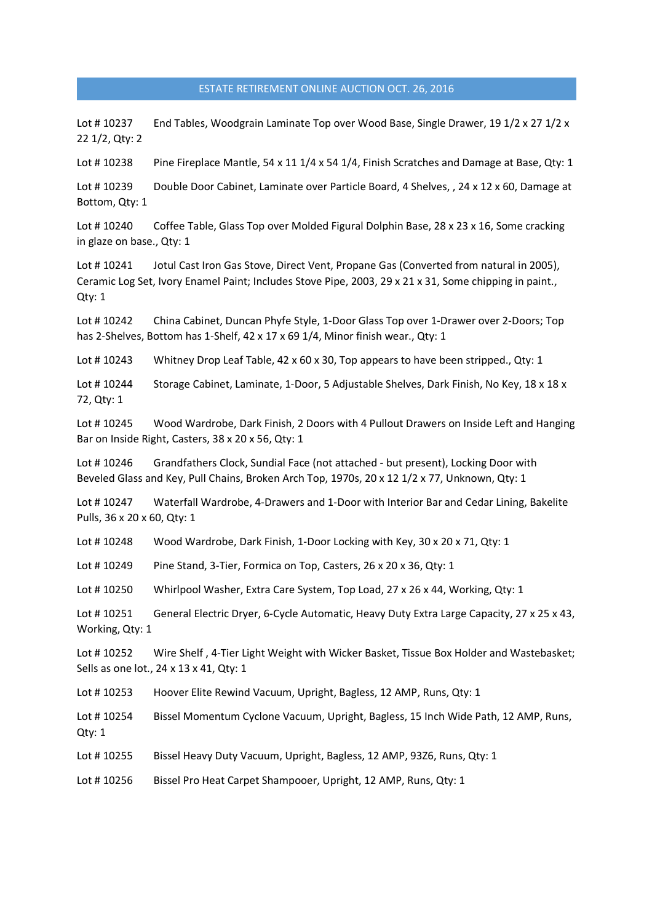Lot #10237 End Tables, Woodgrain Laminate Top over Wood Base, Single Drawer, 191/2 x 271/2 x 22 1/2, Qty: 2

Lot #10238 Pine Fireplace Mantle, 54 x 11 1/4 x 54 1/4, Finish Scratches and Damage at Base, Qty: 1

Lot #10239 Double Door Cabinet, Laminate over Particle Board, 4 Shelves, , 24 x 12 x 60, Damage at Bottom, Qty: 1

Lot #10240 Coffee Table, Glass Top over Molded Figural Dolphin Base, 28 x 23 x 16, Some cracking in glaze on base., Qty: 1

Lot #10241 Jotul Cast Iron Gas Stove, Direct Vent, Propane Gas (Converted from natural in 2005), Ceramic Log Set, Ivory Enamel Paint; Includes Stove Pipe, 2003, 29 x 21 x 31, Some chipping in paint., Qty: 1

Lot # 10242 China Cabinet, Duncan Phyfe Style, 1-Door Glass Top over 1-Drawer over 2-Doors; Top has 2-Shelves, Bottom has 1-Shelf, 42 x 17 x 69 1/4, Minor finish wear., Qty: 1

Lot #10243 Whitney Drop Leaf Table, 42 x 60 x 30, Top appears to have been stripped., Qty: 1

Lot # 10244 Storage Cabinet, Laminate, 1-Door, 5 Adjustable Shelves, Dark Finish, No Key, 18 x 18 x 72, Qty: 1

Lot # 10245 Wood Wardrobe, Dark Finish, 2 Doors with 4 Pullout Drawers on Inside Left and Hanging Bar on Inside Right, Casters, 38 x 20 x 56, Qty: 1

Lot #10246 Grandfathers Clock, Sundial Face (not attached - but present), Locking Door with Beveled Glass and Key, Pull Chains, Broken Arch Top, 1970s, 20 x 12 1/2 x 77, Unknown, Qty: 1

Lot # 10247 Waterfall Wardrobe, 4-Drawers and 1-Door with Interior Bar and Cedar Lining, Bakelite Pulls, 36 x 20 x 60, Qty: 1

Lot #10248 Wood Wardrobe, Dark Finish, 1-Door Locking with Key, 30 x 20 x 71, Qty: 1

Lot #10249 Pine Stand, 3-Tier, Formica on Top, Casters, 26 x 20 x 36, Qty: 1

Lot #10250 Whirlpool Washer, Extra Care System, Top Load, 27 x 26 x 44, Working, Qty: 1

Lot #10251 General Electric Dryer, 6-Cycle Automatic, Heavy Duty Extra Large Capacity, 27 x 25 x 43, Working, Qty: 1

Lot #10252 Wire Shelf, 4-Tier Light Weight with Wicker Basket, Tissue Box Holder and Wastebasket; Sells as one lot., 24 x 13 x 41, Qty: 1

Lot #10253 Hoover Elite Rewind Vacuum, Upright, Bagless, 12 AMP, Runs, Qty: 1

Lot #10254 Bissel Momentum Cyclone Vacuum, Upright, Bagless, 15 Inch Wide Path, 12 AMP, Runs, Qty: 1

Lot # 10255 Bissel Heavy Duty Vacuum, Upright, Bagless, 12 AMP, 93Z6, Runs, Qty: 1

Lot #10256 Bissel Pro Heat Carpet Shampooer, Upright, 12 AMP, Runs, Qty: 1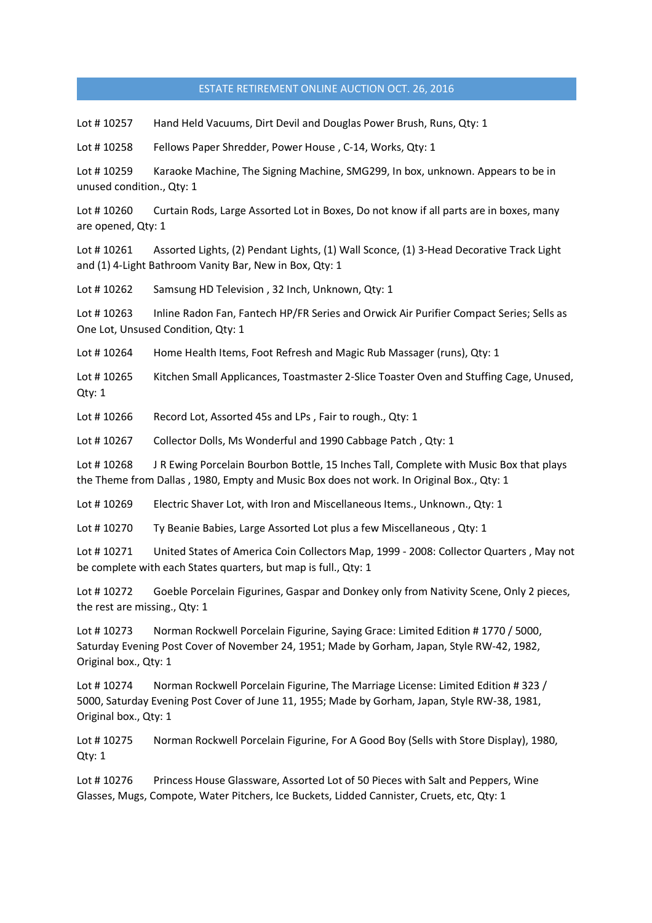Lot # 10257 Hand Held Vacuums, Dirt Devil and Douglas Power Brush, Runs, Qty: 1

Lot #10258 Fellows Paper Shredder, Power House, C-14, Works, Qty: 1

Lot #10259 Karaoke Machine, The Signing Machine, SMG299, In box, unknown. Appears to be in unused condition., Qty: 1

Lot #10260 Curtain Rods, Large Assorted Lot in Boxes, Do not know if all parts are in boxes, many are opened, Qty: 1

Lot #10261 Assorted Lights, (2) Pendant Lights, (1) Wall Sconce, (1) 3-Head Decorative Track Light and (1) 4-Light Bathroom Vanity Bar, New in Box, Qty: 1

Lot #10262 Samsung HD Television, 32 Inch, Unknown, Qty: 1

Lot #10263 Inline Radon Fan, Fantech HP/FR Series and Orwick Air Purifier Compact Series; Sells as One Lot, Unsused Condition, Qty: 1

Lot #10264 Home Health Items, Foot Refresh and Magic Rub Massager (runs), Qty: 1

Lot #10265 Kitchen Small Applicances, Toastmaster 2-Slice Toaster Oven and Stuffing Cage, Unused, Qty: 1

Lot #10266 Record Lot, Assorted 45s and LPs, Fair to rough., Qty: 1

Lot # 10267 Collector Dolls, Ms Wonderful and 1990 Cabbage Patch , Qty: 1

Lot #10268 J R Ewing Porcelain Bourbon Bottle, 15 Inches Tall, Complete with Music Box that plays the Theme from Dallas , 1980, Empty and Music Box does not work. In Original Box., Qty: 1

Lot #10269 Electric Shaver Lot, with Iron and Miscellaneous Items., Unknown., Qty: 1

Lot # 10270 Ty Beanie Babies, Large Assorted Lot plus a few Miscellaneous , Qty: 1

Lot # 10271 United States of America Coin Collectors Map, 1999 - 2008: Collector Quarters , May not be complete with each States quarters, but map is full., Qty: 1

Lot #10272 Goeble Porcelain Figurines, Gaspar and Donkey only from Nativity Scene, Only 2 pieces, the rest are missing., Qty: 1

Lot #10273 Norman Rockwell Porcelain Figurine, Saying Grace: Limited Edition #1770 / 5000, Saturday Evening Post Cover of November 24, 1951; Made by Gorham, Japan, Style RW-42, 1982, Original box., Qty: 1

Lot #10274 Norman Rockwell Porcelain Figurine, The Marriage License: Limited Edition #323 / 5000, Saturday Evening Post Cover of June 11, 1955; Made by Gorham, Japan, Style RW-38, 1981, Original box., Qty: 1

Lot # 10275 Norman Rockwell Porcelain Figurine, For A Good Boy (Sells with Store Display), 1980, Qty: 1

Lot #10276 Princess House Glassware, Assorted Lot of 50 Pieces with Salt and Peppers, Wine Glasses, Mugs, Compote, Water Pitchers, Ice Buckets, Lidded Cannister, Cruets, etc, Qty: 1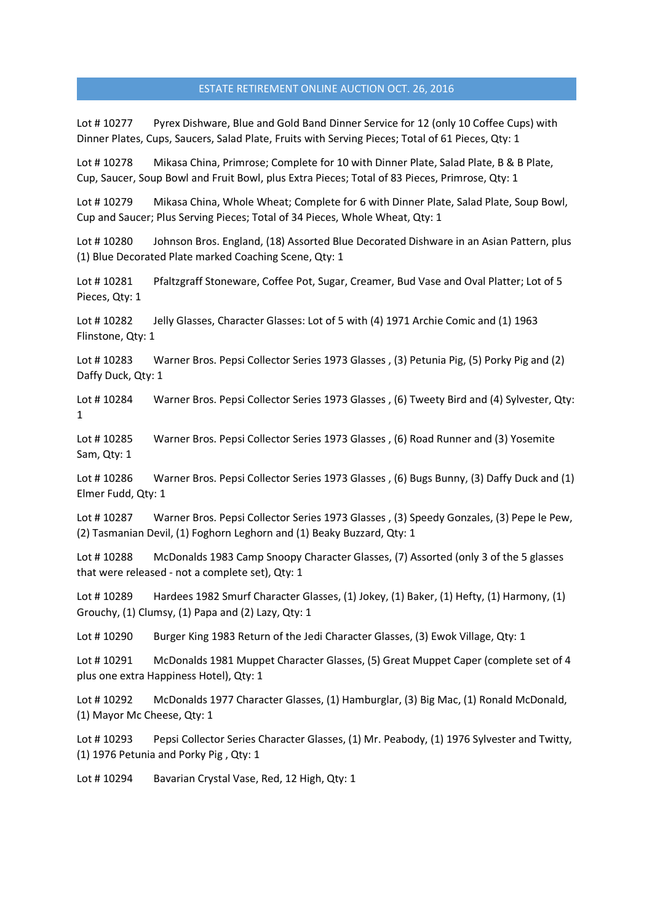Lot #10277 Pyrex Dishware, Blue and Gold Band Dinner Service for 12 (only 10 Coffee Cups) with Dinner Plates, Cups, Saucers, Salad Plate, Fruits with Serving Pieces; Total of 61 Pieces, Qty: 1

Lot #10278 Mikasa China, Primrose; Complete for 10 with Dinner Plate, Salad Plate, B & B Plate, Cup, Saucer, Soup Bowl and Fruit Bowl, plus Extra Pieces; Total of 83 Pieces, Primrose, Qty: 1

Lot # 10279 Mikasa China, Whole Wheat; Complete for 6 with Dinner Plate, Salad Plate, Soup Bowl, Cup and Saucer; Plus Serving Pieces; Total of 34 Pieces, Whole Wheat, Qty: 1

Lot #10280 Johnson Bros. England, (18) Assorted Blue Decorated Dishware in an Asian Pattern, plus (1) Blue Decorated Plate marked Coaching Scene, Qty: 1

Lot #10281 Pfaltzgraff Stoneware, Coffee Pot, Sugar, Creamer, Bud Vase and Oval Platter; Lot of 5 Pieces, Qty: 1

Lot #10282 Jelly Glasses, Character Glasses: Lot of 5 with (4) 1971 Archie Comic and (1) 1963 Flinstone, Qty: 1

Lot # 10283 Warner Bros. Pepsi Collector Series 1973 Glasses , (3) Petunia Pig, (5) Porky Pig and (2) Daffy Duck, Qty: 1

Lot # 10284 Warner Bros. Pepsi Collector Series 1973 Glasses , (6) Tweety Bird and (4) Sylvester, Qty: 1

Lot # 10285 Warner Bros. Pepsi Collector Series 1973 Glasses , (6) Road Runner and (3) Yosemite Sam, Qty: 1

Lot # 10286 Warner Bros. Pepsi Collector Series 1973 Glasses , (6) Bugs Bunny, (3) Daffy Duck and (1) Elmer Fudd, Qty: 1

Lot # 10287 Warner Bros. Pepsi Collector Series 1973 Glasses , (3) Speedy Gonzales, (3) Pepe le Pew, (2) Tasmanian Devil, (1) Foghorn Leghorn and (1) Beaky Buzzard, Qty: 1

Lot # 10288 McDonalds 1983 Camp Snoopy Character Glasses, (7) Assorted (only 3 of the 5 glasses that were released - not a complete set), Qty: 1

Lot #10289 Hardees 1982 Smurf Character Glasses, (1) Jokey, (1) Baker, (1) Hefty, (1) Harmony, (1) Grouchy, (1) Clumsy, (1) Papa and (2) Lazy, Qty: 1

Lot #10290 Burger King 1983 Return of the Jedi Character Glasses, (3) Ewok Village, Qty: 1

Lot #10291 McDonalds 1981 Muppet Character Glasses, (5) Great Muppet Caper (complete set of 4 plus one extra Happiness Hotel), Qty: 1

Lot # 10292 McDonalds 1977 Character Glasses, (1) Hamburglar, (3) Big Mac, (1) Ronald McDonald, (1) Mayor Mc Cheese, Qty: 1

Lot #10293 Pepsi Collector Series Character Glasses, (1) Mr. Peabody, (1) 1976 Sylvester and Twitty, (1) 1976 Petunia and Porky Pig , Qty: 1

Lot #10294 Bavarian Crystal Vase, Red, 12 High, Qty: 1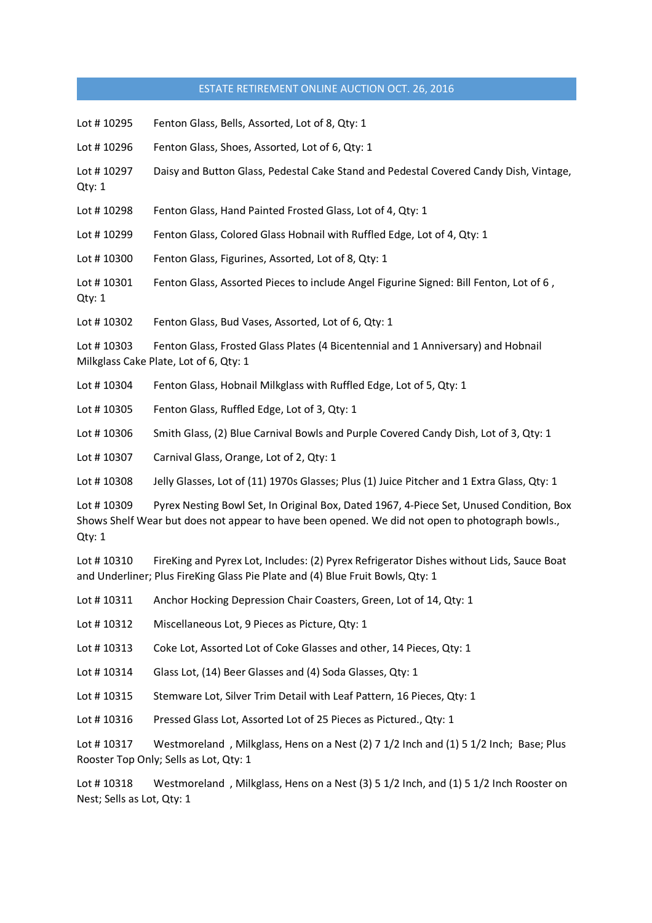| Lot #10295           | Fenton Glass, Bells, Assorted, Lot of 8, Qty: 1                                                                                                                                            |
|----------------------|--------------------------------------------------------------------------------------------------------------------------------------------------------------------------------------------|
| Lot #10296           | Fenton Glass, Shoes, Assorted, Lot of 6, Qty: 1                                                                                                                                            |
| Lot #10297<br>Qty: 1 | Daisy and Button Glass, Pedestal Cake Stand and Pedestal Covered Candy Dish, Vintage,                                                                                                      |
| Lot #10298           | Fenton Glass, Hand Painted Frosted Glass, Lot of 4, Qty: 1                                                                                                                                 |
| Lot #10299           | Fenton Glass, Colored Glass Hobnail with Ruffled Edge, Lot of 4, Qty: 1                                                                                                                    |
| Lot #10300           | Fenton Glass, Figurines, Assorted, Lot of 8, Qty: 1                                                                                                                                        |
| Lot #10301<br>Qty: 1 | Fenton Glass, Assorted Pieces to include Angel Figurine Signed: Bill Fenton, Lot of 6,                                                                                                     |
| Lot #10302           | Fenton Glass, Bud Vases, Assorted, Lot of 6, Qty: 1                                                                                                                                        |
| Lot #10303           | Fenton Glass, Frosted Glass Plates (4 Bicentennial and 1 Anniversary) and Hobnail<br>Milkglass Cake Plate, Lot of 6, Qty: 1                                                                |
| Lot #10304           | Fenton Glass, Hobnail Milkglass with Ruffled Edge, Lot of 5, Qty: 1                                                                                                                        |
| Lot #10305           | Fenton Glass, Ruffled Edge, Lot of 3, Qty: 1                                                                                                                                               |
| Lot #10306           | Smith Glass, (2) Blue Carnival Bowls and Purple Covered Candy Dish, Lot of 3, Qty: 1                                                                                                       |
| Lot #10307           | Carnival Glass, Orange, Lot of 2, Qty: 1                                                                                                                                                   |
| Lot #10308           | Jelly Glasses, Lot of (11) 1970s Glasses; Plus (1) Juice Pitcher and 1 Extra Glass, Qty: 1                                                                                                 |
| Lot #10309<br>Qty: 1 | Pyrex Nesting Bowl Set, In Original Box, Dated 1967, 4-Piece Set, Unused Condition, Box<br>Shows Shelf Wear but does not appear to have been opened. We did not open to photograph bowls., |
| Lot #10310           | FireKing and Pyrex Lot, Includes: (2) Pyrex Refrigerator Dishes without Lids, Sauce Boat<br>and Underliner; Plus FireKing Glass Pie Plate and (4) Blue Fruit Bowls, Qty: 1                 |
|                      | Lot #10311 Anchor Hocking Depression Chair Coasters, Green, Lot of 14, Qty: 1                                                                                                              |
| Lot #10312           | Miscellaneous Lot, 9 Pieces as Picture, Qty: 1                                                                                                                                             |
| Lot #10313           | Coke Lot, Assorted Lot of Coke Glasses and other, 14 Pieces, Qty: 1                                                                                                                        |
| Lot #10314           | Glass Lot, (14) Beer Glasses and (4) Soda Glasses, Qty: 1                                                                                                                                  |
| Lot #10315           | Stemware Lot, Silver Trim Detail with Leaf Pattern, 16 Pieces, Qty: 1                                                                                                                      |
| Lot #10316           | Pressed Glass Lot, Assorted Lot of 25 Pieces as Pictured., Qty: 1                                                                                                                          |
| Lot #10317           | Westmoreland, Milkglass, Hens on a Nest (2) 7 1/2 Inch and (1) 5 1/2 Inch; Base; Plus<br>Rooster Top Only; Sells as Lot, Qty: 1                                                            |

Lot #10318 Westmoreland, Milkglass, Hens on a Nest (3) 51/2 Inch, and (1) 51/2 Inch Rooster on Nest; Sells as Lot, Qty: 1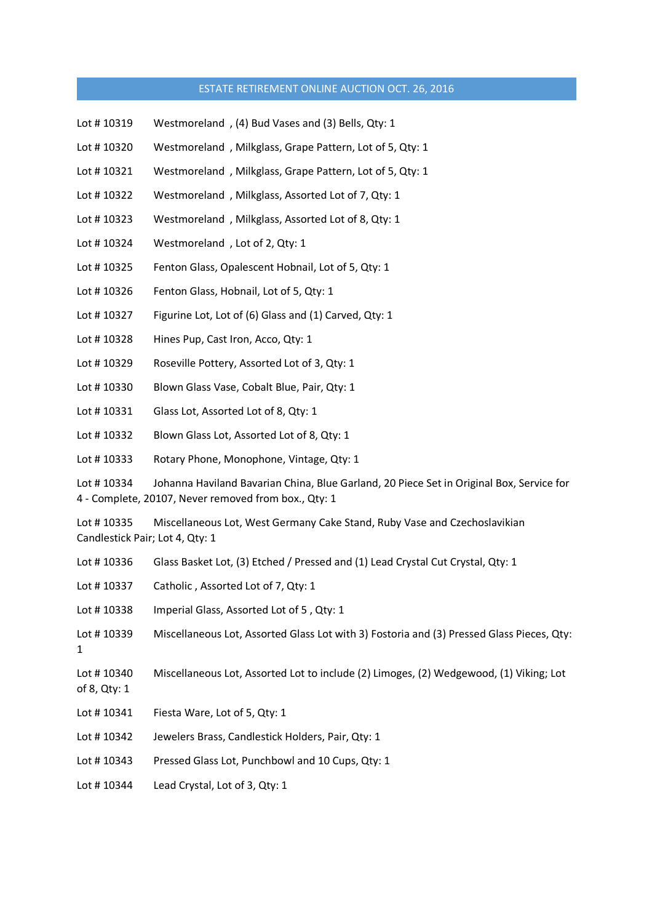- Lot # 10319 Westmoreland , (4) Bud Vases and (3) Bells, Qty: 1
- Lot # 10320 Westmoreland , Milkglass, Grape Pattern, Lot of 5, Qty: 1
- Lot #10321 Westmoreland, Milkglass, Grape Pattern, Lot of 5, Qty: 1
- Lot #10322 Westmoreland, Milkglass, Assorted Lot of 7, Qty: 1
- Lot #10323 Westmoreland, Milkglass, Assorted Lot of 8, Qty: 1
- Lot #10324 Westmoreland, Lot of 2, Qty: 1
- Lot #10325 Fenton Glass, Opalescent Hobnail, Lot of 5, Qty: 1
- Lot #10326 Fenton Glass, Hobnail, Lot of 5, Qty: 1
- Lot #10327 Figurine Lot, Lot of (6) Glass and (1) Carved, Qty: 1
- Lot #10328 Hines Pup, Cast Iron, Acco, Qty: 1
- Lot # 10329 Roseville Pottery, Assorted Lot of 3, Qty: 1
- Lot #10330 Blown Glass Vase, Cobalt Blue, Pair, Qty: 1
- Lot #10331 Glass Lot, Assorted Lot of 8, Qty: 1
- Lot # 10332 Blown Glass Lot, Assorted Lot of 8, Qty: 1
- Lot #10333 Rotary Phone, Monophone, Vintage, Qty: 1

Lot #10334 Johanna Haviland Bavarian China, Blue Garland, 20 Piece Set in Original Box, Service for 4 - Complete, 20107, Never removed from box., Qty: 1

Lot # 10335 Miscellaneous Lot, West Germany Cake Stand, Ruby Vase and Czechoslavikian Candlestick Pair; Lot 4, Qty: 1

| Lot #10336                 | Glass Basket Lot, (3) Etched / Pressed and (1) Lead Crystal Cut Crystal, Qty: 1           |
|----------------------------|-------------------------------------------------------------------------------------------|
| Lot #10337                 | Catholic, Assorted Lot of 7, Qty: 1                                                       |
| Lot #10338                 | Imperial Glass, Assorted Lot of 5, Qty: 1                                                 |
| Lot #10339<br>$\mathbf{1}$ | Miscellaneous Lot, Assorted Glass Lot with 3) Fostoria and (3) Pressed Glass Pieces, Qty: |
| Lot #10340<br>of 8, Qty: 1 | Miscellaneous Lot, Assorted Lot to include (2) Limoges, (2) Wedgewood, (1) Viking; Lot    |
| Lot #10341                 | Fiesta Ware, Lot of 5, Qty: 1                                                             |
| Lot #10342                 | Jewelers Brass, Candlestick Holders, Pair, Qty: 1                                         |
| Lot #10343                 | Pressed Glass Lot, Punchbowl and 10 Cups, Qty: 1                                          |
| Lot #10344                 | Lead Crystal, Lot of 3, Qty: 1                                                            |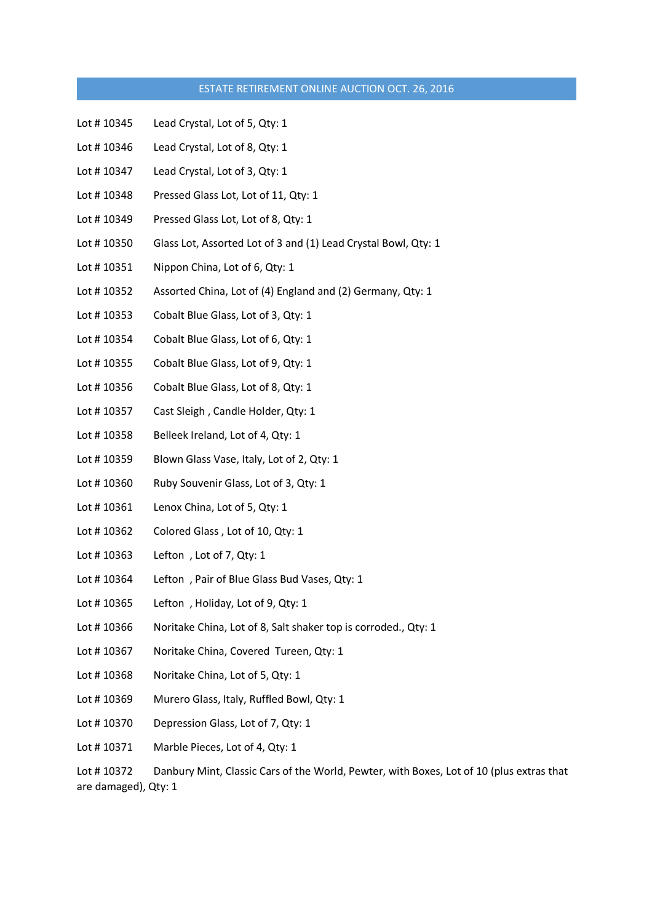- Lot #10345 Lead Crystal, Lot of 5, Qty: 1
- Lot #10346 Lead Crystal, Lot of 8, Qty: 1
- Lot #10347 Lead Crystal, Lot of 3, Qty: 1
- Lot #10348 Pressed Glass Lot, Lot of 11, Qty: 1
- Lot #10349 Pressed Glass Lot, Lot of 8, Qty: 1
- Lot #10350 Glass Lot, Assorted Lot of 3 and (1) Lead Crystal Bowl, Qty: 1
- Lot #10351 Nippon China, Lot of 6, Qty: 1
- Lot # 10352 Assorted China, Lot of (4) England and (2) Germany, Qty: 1
- Lot #10353 Cobalt Blue Glass, Lot of 3, Qty: 1
- Lot #10354 Cobalt Blue Glass, Lot of 6, Qty: 1
- Lot #10355 Cobalt Blue Glass, Lot of 9, Qty: 1
- Lot #10356 Cobalt Blue Glass, Lot of 8, Qty: 1
- Lot #10357 Cast Sleigh, Candle Holder, Qty: 1
- Lot #10358 Belleek Ireland, Lot of 4, Qty: 1
- Lot #10359 Blown Glass Vase, Italy, Lot of 2, Qty: 1
- Lot #10360 Ruby Souvenir Glass, Lot of 3, Qty: 1
- Lot #10361 Lenox China, Lot of 5, Qty: 1
- Lot #10362 Colored Glass, Lot of 10, Qty: 1
- Lot # 10363 Lefton , Lot of 7, Qty: 1
- Lot # 10364 Lefton , Pair of Blue Glass Bud Vases, Qty: 1
- Lot #10365 Lefton, Holiday, Lot of 9, Qty: 1
- Lot #10366 Noritake China, Lot of 8, Salt shaker top is corroded., Qty: 1
- Lot #10367 Noritake China, Covered Tureen, Qty: 1
- Lot #10368 Noritake China, Lot of 5, Qty: 1
- Lot #10369 Murero Glass, Italy, Ruffled Bowl, Qty: 1
- Lot #10370 Depression Glass, Lot of 7, Qty: 1
- Lot #10371 Marble Pieces, Lot of 4, Qty: 1

Lot #10372 Danbury Mint, Classic Cars of the World, Pewter, with Boxes, Lot of 10 (plus extras that are damaged), Qty: 1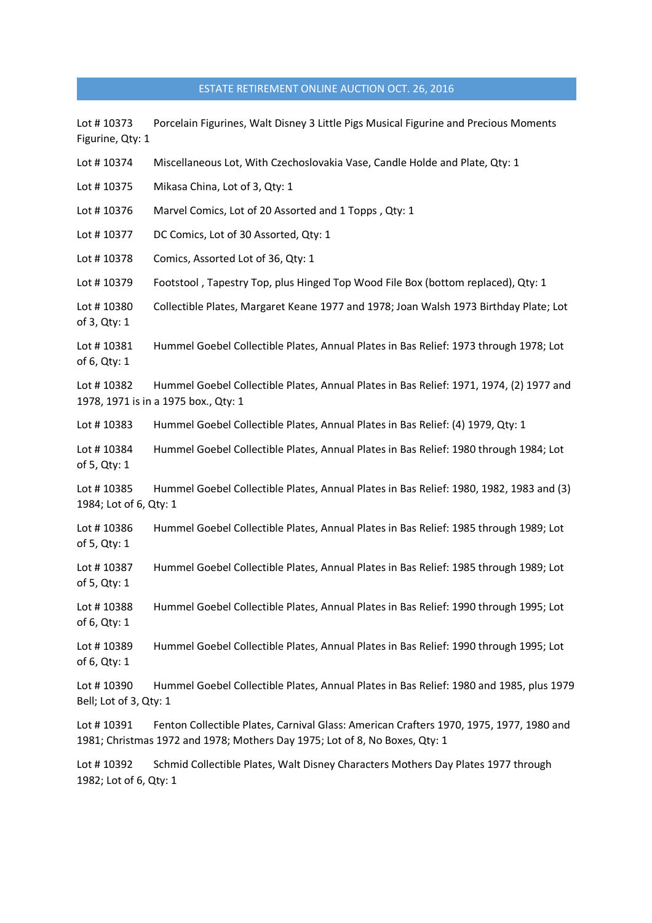Lot #10373 Porcelain Figurines, Walt Disney 3 Little Pigs Musical Figurine and Precious Moments Figurine, Qty: 1 Lot #10374 Miscellaneous Lot, With Czechoslovakia Vase, Candle Holde and Plate, Qty: 1 Lot #10375 Mikasa China, Lot of 3, Qty: 1 Lot #10376 Marvel Comics, Lot of 20 Assorted and 1 Topps, Qty: 1 Lot #10377 DC Comics, Lot of 30 Assorted, Qty: 1 Lot #10378 Comics, Assorted Lot of 36, Qtv: 1 Lot #10379 Footstool, Tapestry Top, plus Hinged Top Wood File Box (bottom replaced), Qty: 1 Lot # 10380 Collectible Plates, Margaret Keane 1977 and 1978; Joan Walsh 1973 Birthday Plate; Lot of 3, Qty: 1 Lot #10381 Hummel Goebel Collectible Plates, Annual Plates in Bas Relief: 1973 through 1978; Lot of 6, Qty: 1 Lot #10382 Hummel Goebel Collectible Plates, Annual Plates in Bas Relief: 1971, 1974, (2) 1977 and 1978, 1971 is in a 1975 box., Qty: 1 Lot #10383 Hummel Goebel Collectible Plates, Annual Plates in Bas Relief: (4) 1979, Qty: 1 Lot #10384 Hummel Goebel Collectible Plates, Annual Plates in Bas Relief: 1980 through 1984; Lot of 5, Qty: 1 Lot # 10385 Hummel Goebel Collectible Plates, Annual Plates in Bas Relief: 1980, 1982, 1983 and (3) 1984; Lot of 6, Qty: 1 Lot # 10386 Hummel Goebel Collectible Plates, Annual Plates in Bas Relief: 1985 through 1989; Lot of 5, Qty: 1 Lot # 10387 Hummel Goebel Collectible Plates, Annual Plates in Bas Relief: 1985 through 1989; Lot of 5, Qty: 1 Lot # 10388 Hummel Goebel Collectible Plates, Annual Plates in Bas Relief: 1990 through 1995; Lot of 6, Qty: 1 Lot # 10389 Hummel Goebel Collectible Plates, Annual Plates in Bas Relief: 1990 through 1995; Lot of 6, Qty: 1 Lot # 10390 Hummel Goebel Collectible Plates, Annual Plates in Bas Relief: 1980 and 1985, plus 1979 Bell; Lot of 3, Qty: 1 Lot #10391 Fenton Collectible Plates, Carnival Glass: American Crafters 1970, 1975, 1977, 1980 and 1981; Christmas 1972 and 1978; Mothers Day 1975; Lot of 8, No Boxes, Qty: 1

Lot #10392 Schmid Collectible Plates, Walt Disney Characters Mothers Day Plates 1977 through 1982; Lot of 6, Qty: 1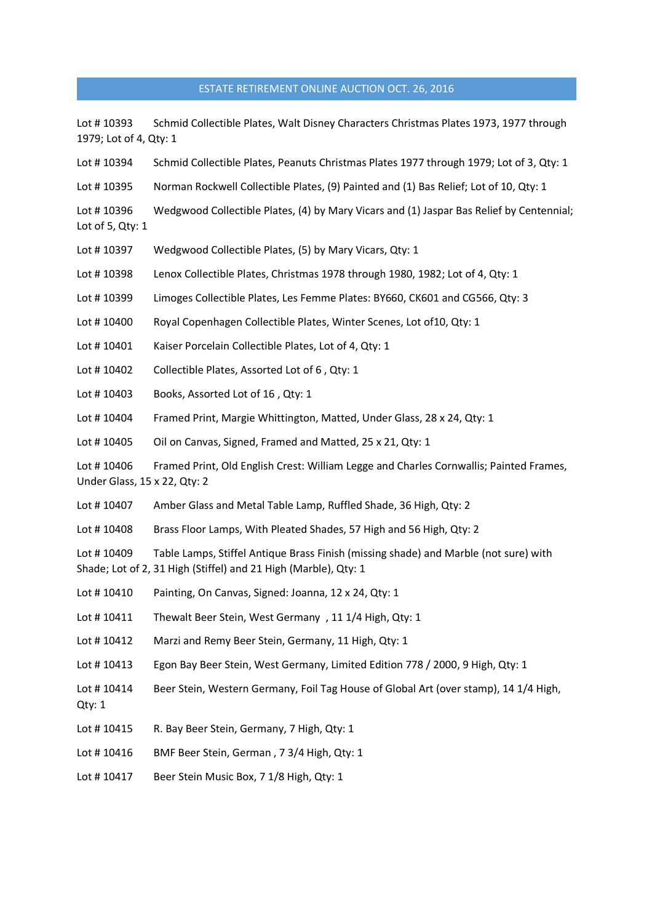| Lot #10393<br>1979; Lot of 4, Qty: 1       | Schmid Collectible Plates, Walt Disney Characters Christmas Plates 1973, 1977 through                                                                   |
|--------------------------------------------|---------------------------------------------------------------------------------------------------------------------------------------------------------|
| Lot #10394                                 | Schmid Collectible Plates, Peanuts Christmas Plates 1977 through 1979; Lot of 3, Qty: 1                                                                 |
| Lot #10395                                 | Norman Rockwell Collectible Plates, (9) Painted and (1) Bas Relief; Lot of 10, Qty: 1                                                                   |
| Lot #10396<br>Lot of $5$ , Qty: 1          | Wedgwood Collectible Plates, (4) by Mary Vicars and (1) Jaspar Bas Relief by Centennial;                                                                |
| Lot #10397                                 | Wedgwood Collectible Plates, (5) by Mary Vicars, Qty: 1                                                                                                 |
| Lot #10398                                 | Lenox Collectible Plates, Christmas 1978 through 1980, 1982; Lot of 4, Qty: 1                                                                           |
| Lot #10399                                 | Limoges Collectible Plates, Les Femme Plates: BY660, CK601 and CG566, Qty: 3                                                                            |
| Lot # 10400                                | Royal Copenhagen Collectible Plates, Winter Scenes, Lot of 10, Qty: 1                                                                                   |
| Lot #10401                                 | Kaiser Porcelain Collectible Plates, Lot of 4, Qty: 1                                                                                                   |
| Lot #10402                                 | Collectible Plates, Assorted Lot of 6, Qty: 1                                                                                                           |
| Lot #10403                                 | Books, Assorted Lot of 16, Qty: 1                                                                                                                       |
| Lot #10404                                 | Framed Print, Margie Whittington, Matted, Under Glass, 28 x 24, Qty: 1                                                                                  |
| Lot #10405                                 | Oil on Canvas, Signed, Framed and Matted, 25 x 21, Qty: 1                                                                                               |
| Lot #10406<br>Under Glass, 15 x 22, Qty: 2 | Framed Print, Old English Crest: William Legge and Charles Cornwallis; Painted Frames,                                                                  |
| Lot # 10407                                | Amber Glass and Metal Table Lamp, Ruffled Shade, 36 High, Qty: 2                                                                                        |
| Lot #10408                                 | Brass Floor Lamps, With Pleated Shades, 57 High and 56 High, Qty: 2                                                                                     |
| Lot #10409                                 | Table Lamps, Stiffel Antique Brass Finish (missing shade) and Marble (not sure) with<br>Shade; Lot of 2, 31 High (Stiffel) and 21 High (Marble), Qty: 1 |
| Lot #10410                                 | Painting, On Canvas, Signed: Joanna, 12 x 24, Qty: 1                                                                                                    |
| Lot #10411                                 | Thewalt Beer Stein, West Germany, 11 1/4 High, Qty: 1                                                                                                   |
| Lot #10412                                 | Marzi and Remy Beer Stein, Germany, 11 High, Qty: 1                                                                                                     |
| Lot #10413                                 | Egon Bay Beer Stein, West Germany, Limited Edition 778 / 2000, 9 High, Qty: 1                                                                           |
| Lot #10414<br>Qty: 1                       | Beer Stein, Western Germany, Foil Tag House of Global Art (over stamp), 14 1/4 High,                                                                    |
| Lot #10415                                 | R. Bay Beer Stein, Germany, 7 High, Qty: 1                                                                                                              |
| Lot #10416                                 | BMF Beer Stein, German, 7 3/4 High, Qty: 1                                                                                                              |
| Lot #10417                                 | Beer Stein Music Box, 7 1/8 High, Qty: 1                                                                                                                |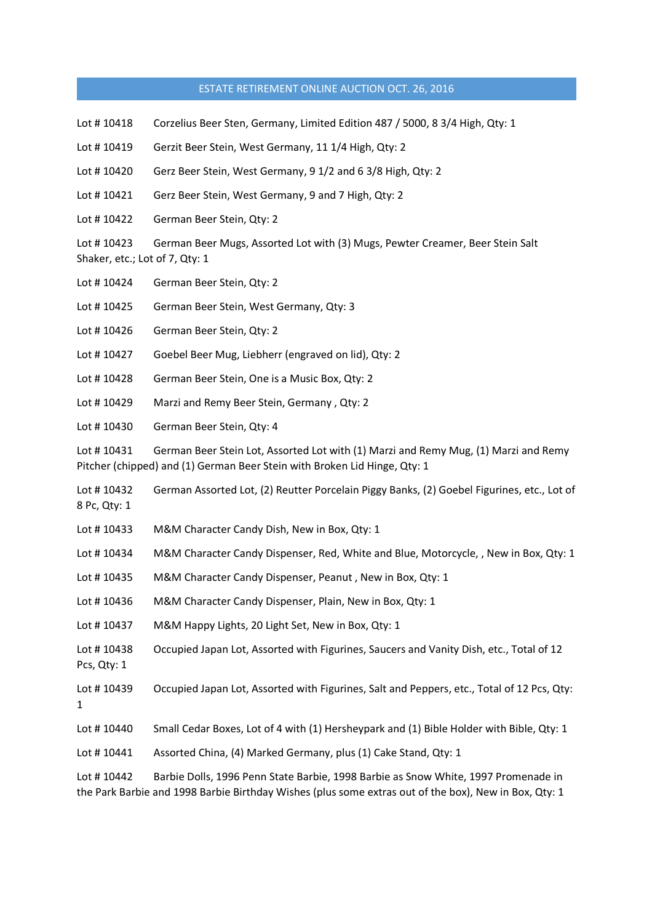- Lot # 10418 Corzelius Beer Sten, Germany, Limited Edition 487 / 5000, 8 3/4 High, Qty: 1
- Lot # 10419 Gerzit Beer Stein, West Germany, 11 1/4 High, Qty: 2
- Lot # 10420 Gerz Beer Stein, West Germany, 9 1/2 and 6 3/8 High, Qty: 2
- Lot #10421 Gerz Beer Stein, West Germany, 9 and 7 High, Qty: 2
- Lot #10422 German Beer Stein, Qty: 2

Lot #10423 German Beer Mugs, Assorted Lot with (3) Mugs, Pewter Creamer, Beer Stein Salt Shaker, etc.; Lot of 7, Qty: 1

- Lot #10424 German Beer Stein, Qty: 2
- Lot # 10425 German Beer Stein, West Germany, Qty: 3
- Lot #10426 German Beer Stein, Qty: 2
- Lot # 10427 Goebel Beer Mug, Liebherr (engraved on lid), Qty: 2
- Lot # 10428 German Beer Stein, One is a Music Box, Qty: 2
- Lot # 10429 Marzi and Remy Beer Stein, Germany , Qty: 2
- Lot #10430 German Beer Stein, Qty: 4

Lot #10431 German Beer Stein Lot, Assorted Lot with (1) Marzi and Remy Mug, (1) Marzi and Remy Pitcher (chipped) and (1) German Beer Stein with Broken Lid Hinge, Qty: 1

- Lot # 10432 German Assorted Lot, (2) Reutter Porcelain Piggy Banks, (2) Goebel Figurines, etc., Lot of 8 Pc, Qty: 1
- Lot # 10433 M&M Character Candy Dish, New in Box, Qty: 1
- Lot #10434 M&M Character Candy Dispenser, Red, White and Blue, Motorcycle, , New in Box, Qty: 1
- Lot #10435 M&M Character Candy Dispenser, Peanut, New in Box, Qty: 1
- Lot #10436 M&M Character Candy Dispenser, Plain, New in Box, Qty: 1
- Lot #10437 M&M Happy Lights, 20 Light Set, New in Box, Qty: 1
- Lot #10438 Occupied Japan Lot, Assorted with Figurines, Saucers and Vanity Dish, etc., Total of 12 Pcs, Qty: 1
- Lot #10439 Occupied Japan Lot, Assorted with Figurines, Salt and Peppers, etc., Total of 12 Pcs, Qty: 1
- Lot #10440 Small Cedar Boxes, Lot of 4 with (1) Hersheypark and (1) Bible Holder with Bible, Qty: 1
- Lot #10441 Assorted China, (4) Marked Germany, plus (1) Cake Stand, Qty: 1

Lot # 10442 Barbie Dolls, 1996 Penn State Barbie, 1998 Barbie as Snow White, 1997 Promenade in the Park Barbie and 1998 Barbie Birthday Wishes (plus some extras out of the box), New in Box, Qty: 1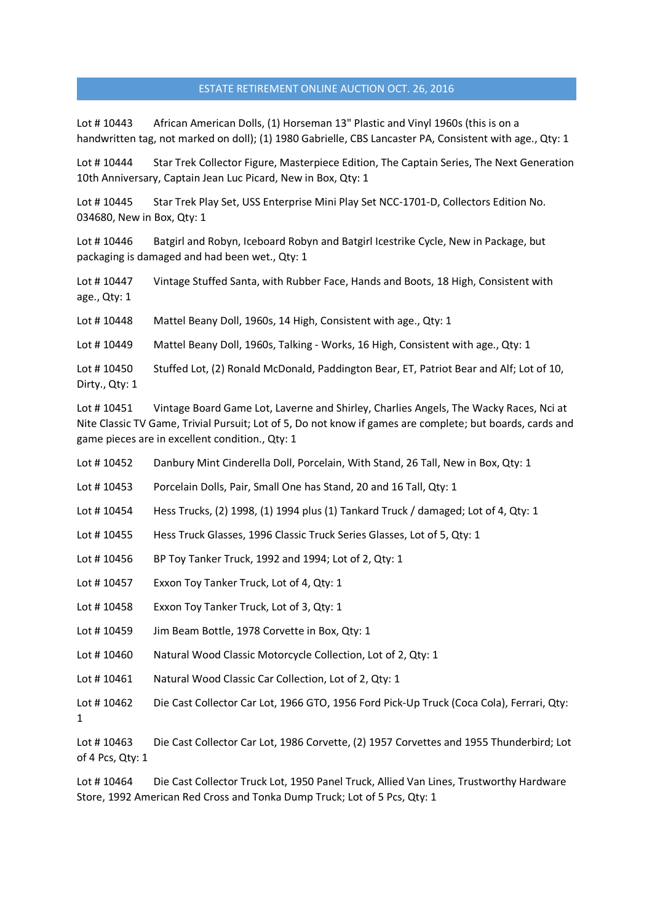Lot # 10443 African American Dolls, (1) Horseman 13" Plastic and Vinyl 1960s (this is on a handwritten tag, not marked on doll); (1) 1980 Gabrielle, CBS Lancaster PA, Consistent with age., Qty: 1

Lot #10444 Star Trek Collector Figure, Masterpiece Edition, The Captain Series, The Next Generation 10th Anniversary, Captain Jean Luc Picard, New in Box, Qty: 1

Lot #10445 Star Trek Play Set, USS Enterprise Mini Play Set NCC-1701-D, Collectors Edition No. 034680, New in Box, Qty: 1

Lot #10446 Batgirl and Robyn, Iceboard Robyn and Batgirl Icestrike Cycle, New in Package, but packaging is damaged and had been wet., Qty: 1

Lot #10447 Vintage Stuffed Santa, with Rubber Face, Hands and Boots, 18 High, Consistent with age., Qty: 1

Lot #10448 Mattel Beany Doll, 1960s, 14 High, Consistent with age., Qty: 1

Lot #10449 Mattel Beany Doll, 1960s, Talking - Works, 16 High, Consistent with age., Qty: 1

Lot #10450 Stuffed Lot, (2) Ronald McDonald, Paddington Bear, ET, Patriot Bear and Alf; Lot of 10, Dirty., Qty: 1

Lot #10451 Vintage Board Game Lot, Laverne and Shirley, Charlies Angels, The Wacky Races, Nci at Nite Classic TV Game, Trivial Pursuit; Lot of 5, Do not know if games are complete; but boards, cards and game pieces are in excellent condition., Qty: 1

Lot #10452 Danbury Mint Cinderella Doll, Porcelain, With Stand, 26 Tall, New in Box, Qty: 1

Lot # 10453 Porcelain Dolls, Pair, Small One has Stand, 20 and 16 Tall, Qty: 1

Lot # 10454 Hess Trucks, (2) 1998, (1) 1994 plus (1) Tankard Truck / damaged; Lot of 4, Qty: 1

Lot # 10455 Hess Truck Glasses, 1996 Classic Truck Series Glasses, Lot of 5, Qty: 1

Lot # 10456 BP Toy Tanker Truck, 1992 and 1994; Lot of 2, Qty: 1

Lot #10457 Exxon Toy Tanker Truck, Lot of 4, Qty: 1

Lot #10458 Exxon Toy Tanker Truck, Lot of 3, Qty: 1

Lot #10459 Jim Beam Bottle, 1978 Corvette in Box, Qty: 1

Lot # 10460 Natural Wood Classic Motorcycle Collection, Lot of 2, Qty: 1

Lot #10461 Natural Wood Classic Car Collection, Lot of 2, Qty: 1

Lot # 10462 Die Cast Collector Car Lot, 1966 GTO, 1956 Ford Pick-Up Truck (Coca Cola), Ferrari, Qty: 1

Lot # 10463 Die Cast Collector Car Lot, 1986 Corvette, (2) 1957 Corvettes and 1955 Thunderbird; Lot of 4 Pcs, Qty: 1

Lot #10464 Die Cast Collector Truck Lot, 1950 Panel Truck, Allied Van Lines, Trustworthy Hardware Store, 1992 American Red Cross and Tonka Dump Truck; Lot of 5 Pcs, Qty: 1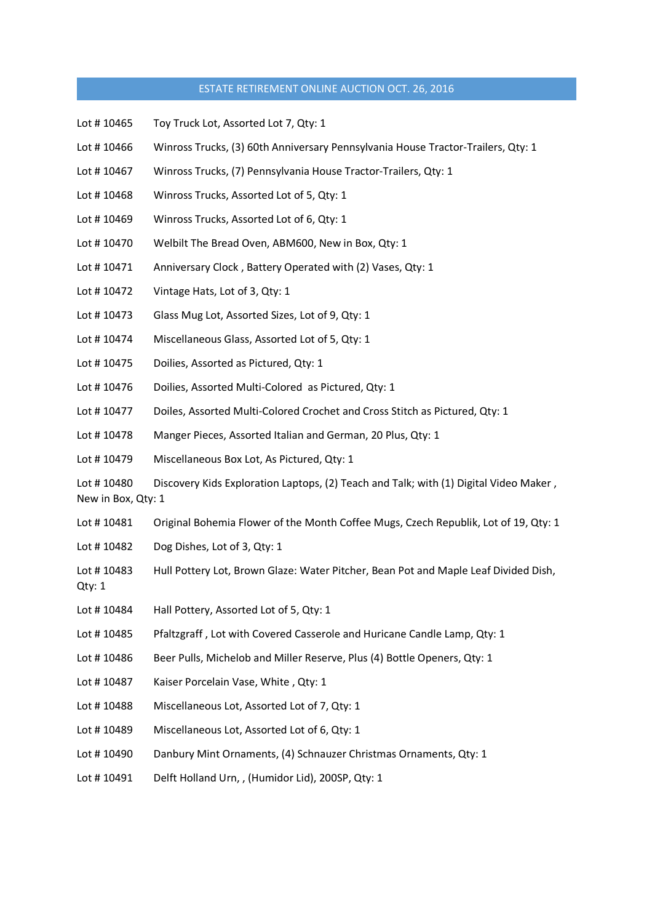- Lot #10465 Toy Truck Lot, Assorted Lot 7, Qty: 1
- Lot #10466 Winross Trucks, (3) 60th Anniversary Pennsylvania House Tractor-Trailers, Qty: 1
- Lot #10467 Winross Trucks, (7) Pennsylvania House Tractor-Trailers, Qty: 1
- Lot #10468 Winross Trucks, Assorted Lot of 5, Qty: 1
- Lot #10469 Winross Trucks, Assorted Lot of 6, Qty: 1
- Lot #10470 Welbilt The Bread Oven, ABM600, New in Box, Qty: 1
- Lot #10471 Anniversary Clock, Battery Operated with (2) Vases, Qty: 1
- Lot #10472 Vintage Hats, Lot of 3, Qty: 1
- Lot # 10473 Glass Mug Lot, Assorted Sizes, Lot of 9, Qty: 1
- Lot # 10474 Miscellaneous Glass, Assorted Lot of 5, Qty: 1
- Lot # 10475 Doilies, Assorted as Pictured, Qty: 1
- Lot #10476 Doilies, Assorted Multi-Colored as Pictured, Qty: 1
- Lot # 10477 Doiles, Assorted Multi-Colored Crochet and Cross Stitch as Pictured, Qty: 1
- Lot # 10478 Manger Pieces, Assorted Italian and German, 20 Plus, Qty: 1
- Lot # 10479 Miscellaneous Box Lot, As Pictured, Qty: 1

Lot #10480 Discovery Kids Exploration Laptops, (2) Teach and Talk; with (1) Digital Video Maker, New in Box, Qty: 1

- Lot #10481 Original Bohemia Flower of the Month Coffee Mugs, Czech Republik, Lot of 19, Qty: 1
- Lot #10482 Dog Dishes, Lot of 3, Qty: 1
- Lot #10483 Hull Pottery Lot, Brown Glaze: Water Pitcher, Bean Pot and Maple Leaf Divided Dish, Qty: 1
- Lot #10484 Hall Pottery, Assorted Lot of 5, Qty: 1
- Lot # 10485 Pfaltzgraff , Lot with Covered Casserole and Huricane Candle Lamp, Qty: 1
- Lot #10486 Beer Pulls, Michelob and Miller Reserve, Plus (4) Bottle Openers, Qty: 1
- Lot #10487 Kaiser Porcelain Vase, White, Qty: 1
- Lot # 10488 Miscellaneous Lot, Assorted Lot of 7, Qty: 1
- Lot #10489 Miscellaneous Lot, Assorted Lot of 6, Qty: 1
- Lot #10490 Danbury Mint Ornaments, (4) Schnauzer Christmas Ornaments, Qty: 1
- Lot # 10491 Delft Holland Urn, , (Humidor Lid), 200SP, Qty: 1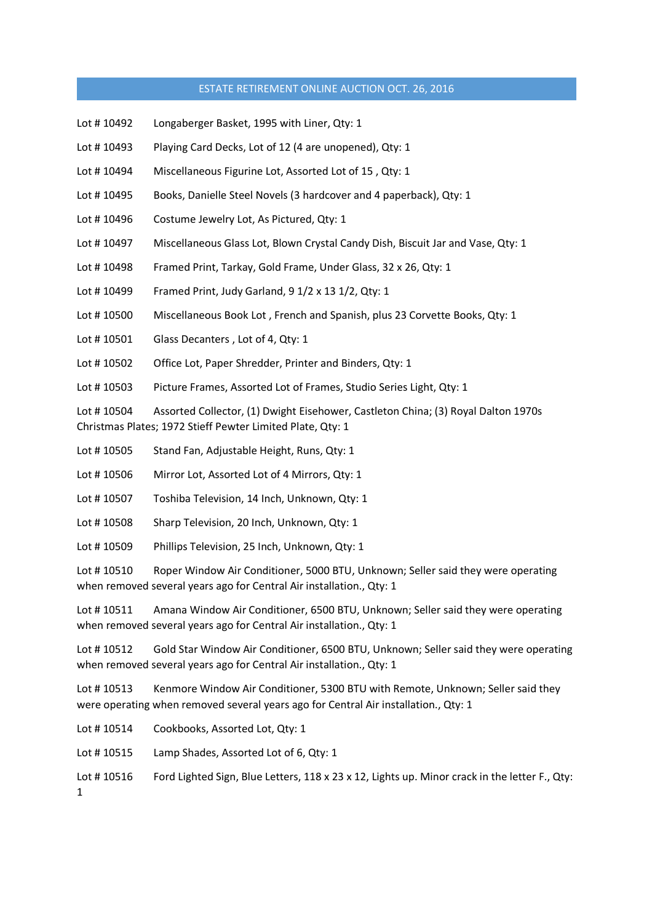- Lot # 10492 Longaberger Basket, 1995 with Liner, Qty: 1
- Lot #10493 Playing Card Decks, Lot of 12 (4 are unopened), Qty: 1
- Lot #10494 Miscellaneous Figurine Lot, Assorted Lot of 15, Qty: 1
- Lot #10495 Books, Danielle Steel Novels (3 hardcover and 4 paperback), Qty: 1
- Lot #10496 Costume Jewelry Lot, As Pictured, Qty: 1
- Lot # 10497 Miscellaneous Glass Lot, Blown Crystal Candy Dish, Biscuit Jar and Vase, Qty: 1
- Lot #10498 Framed Print, Tarkay, Gold Frame, Under Glass, 32 x 26, Qty: 1
- Lot # 10499 Framed Print, Judy Garland, 9 1/2 x 13 1/2, Qty: 1
- Lot #10500 Miscellaneous Book Lot, French and Spanish, plus 23 Corvette Books, Qty: 1
- Lot #10501 Glass Decanters, Lot of 4, Qty: 1
- Lot #10502 Office Lot, Paper Shredder, Printer and Binders, Qty: 1
- Lot #10503 Picture Frames, Assorted Lot of Frames, Studio Series Light, Qty: 1

Lot # 10504 Assorted Collector, (1) Dwight Eisehower, Castleton China; (3) Royal Dalton 1970s Christmas Plates; 1972 Stieff Pewter Limited Plate, Qty: 1

- Lot #10505 Stand Fan, Adjustable Height, Runs, Qty: 1
- Lot # 10506 Mirror Lot, Assorted Lot of 4 Mirrors, Qty: 1
- Lot #10507 Toshiba Television, 14 Inch, Unknown, Qtv: 1
- Lot #10508 Sharp Television, 20 Inch, Unknown, Qty: 1
- Lot #10509 Phillips Television, 25 Inch, Unknown, Qty: 1

Lot #10510 Roper Window Air Conditioner, 5000 BTU, Unknown; Seller said they were operating when removed several years ago for Central Air installation., Qty: 1

Lot #10511 Amana Window Air Conditioner, 6500 BTU, Unknown; Seller said they were operating when removed several years ago for Central Air installation., Qty: 1

Lot # 10512 Gold Star Window Air Conditioner, 6500 BTU, Unknown; Seller said they were operating when removed several years ago for Central Air installation., Qty: 1

Lot #10513 Kenmore Window Air Conditioner, 5300 BTU with Remote, Unknown; Seller said they were operating when removed several years ago for Central Air installation., Qty: 1

Lot #10514 Cookbooks, Assorted Lot, Qty: 1

Lot #10515 Lamp Shades, Assorted Lot of 6, Qty: 1

Lot #10516 Ford Lighted Sign, Blue Letters, 118 x 23 x 12, Lights up. Minor crack in the letter F., Qty:

1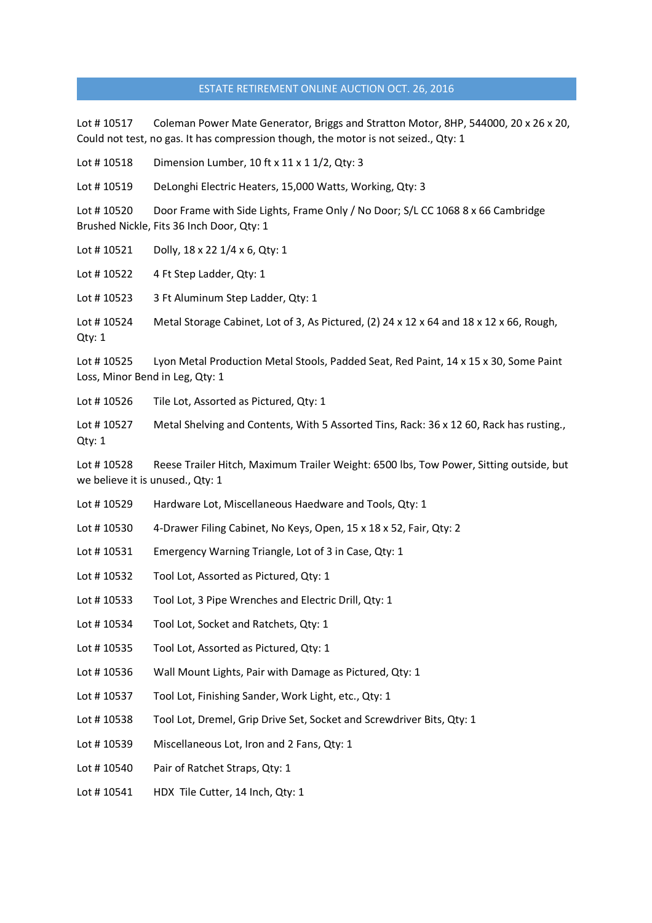Lot # 10517 Coleman Power Mate Generator, Briggs and Stratton Motor, 8HP, 544000, 20 x 26 x 20, Could not test, no gas. It has compression though, the motor is not seized., Qty: 1

Lot #10518 Dimension Lumber, 10 ft x 11 x 1 1/2, Qty: 3

Lot #10519 DeLonghi Electric Heaters, 15,000 Watts, Working, Qty: 3

Lot #10520 Door Frame with Side Lights, Frame Only / No Door; S/L CC 1068 8 x 66 Cambridge Brushed Nickle, Fits 36 Inch Door, Qty: 1

Lot #10521 Dolly, 18 x 22 1/4 x 6, Qty: 1

Lot #10522 4 Ft Step Ladder, Qty: 1

Lot #10523 3 Ft Aluminum Step Ladder, Qty: 1

Lot #10524 Metal Storage Cabinet, Lot of 3, As Pictured, (2) 24 x 12 x 64 and 18 x 12 x 66, Rough, Qty: 1

Lot # 10525 Lyon Metal Production Metal Stools, Padded Seat, Red Paint, 14 x 15 x 30, Some Paint Loss, Minor Bend in Leg, Qty: 1

Lot #10526 Tile Lot, Assorted as Pictured, Qty: 1

Lot #10527 Metal Shelving and Contents, With 5 Assorted Tins, Rack: 36 x 12 60, Rack has rusting., Qty: 1

Lot #10528 Reese Trailer Hitch, Maximum Trailer Weight: 6500 lbs, Tow Power, Sitting outside, but we believe it is unused., Qty: 1

Lot #10529 Hardware Lot, Miscellaneous Haedware and Tools, Qty: 1

Lot #10530 4-Drawer Filing Cabinet, No Keys, Open, 15 x 18 x 52, Fair, Qty: 2

Lot #10531 Emergency Warning Triangle, Lot of 3 in Case, Qty: 1

Lot #10532 Tool Lot, Assorted as Pictured, Qty: 1

Lot #10533 Tool Lot, 3 Pipe Wrenches and Electric Drill, Qty: 1

Lot # 10534 Tool Lot, Socket and Ratchets, Qty: 1

Lot # 10535 Tool Lot, Assorted as Pictured, Qty: 1

Lot #10536 Wall Mount Lights, Pair with Damage as Pictured, Qty: 1

Lot #10537 Tool Lot, Finishing Sander, Work Light, etc., Qty: 1

Lot #10538 Tool Lot, Dremel, Grip Drive Set, Socket and Screwdriver Bits, Qty: 1

Lot # 10539 Miscellaneous Lot, Iron and 2 Fans, Qty: 1

Lot #10540 Pair of Ratchet Straps, Qty: 1

Lot #10541 HDX Tile Cutter, 14 Inch, Qty: 1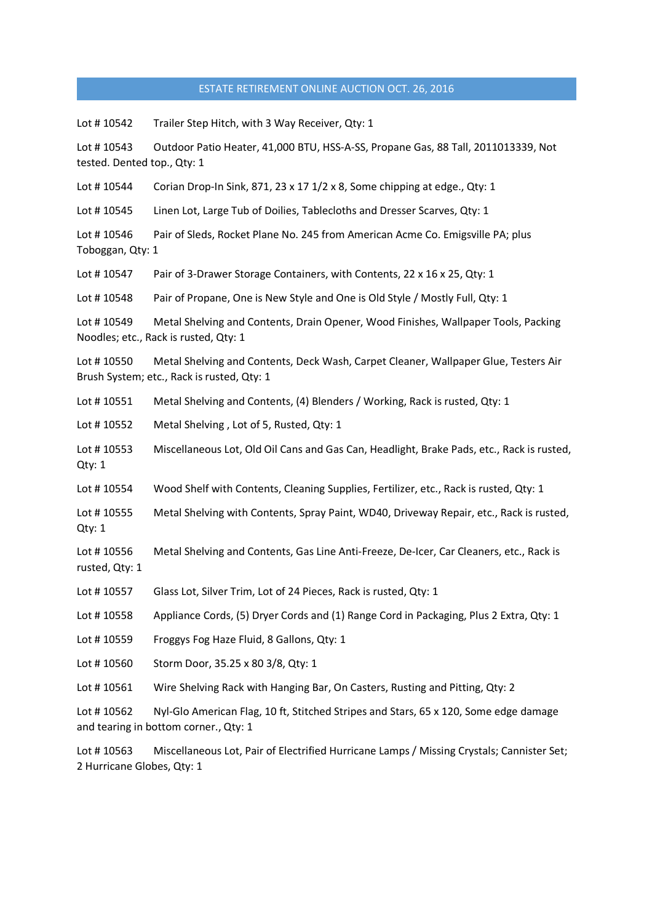Lot # 10542 Trailer Step Hitch, with 3 Way Receiver, Qty: 1

Lot # 10543 Outdoor Patio Heater, 41,000 BTU, HSS-A-SS, Propane Gas, 88 Tall, 2011013339, Not tested. Dented top., Qty: 1

Lot #10544 Corian Drop-In Sink,  $871$ ,  $23 \times 17$   $1/2 \times 8$ , Some chipping at edge., Qty: 1

Lot #10545 Linen Lot, Large Tub of Doilies, Tablecloths and Dresser Scarves, Qty: 1

Lot #10546 Pair of Sleds, Rocket Plane No. 245 from American Acme Co. Emigsville PA; plus Toboggan, Qty: 1

Lot #10547 Pair of 3-Drawer Storage Containers, with Contents, 22 x 16 x 25, Qty: 1

Lot #10548 Pair of Propane, One is New Style and One is Old Style / Mostly Full, Qty: 1

Lot # 10549 Metal Shelving and Contents, Drain Opener, Wood Finishes, Wallpaper Tools, Packing Noodles; etc., Rack is rusted, Qty: 1

Lot # 10550 Metal Shelving and Contents, Deck Wash, Carpet Cleaner, Wallpaper Glue, Testers Air Brush System; etc., Rack is rusted, Qty: 1

Lot #10551 Metal Shelving and Contents, (4) Blenders / Working, Rack is rusted, Qty: 1

Lot # 10552 Metal Shelving , Lot of 5, Rusted, Qty: 1

Lot # 10553 Miscellaneous Lot, Old Oil Cans and Gas Can, Headlight, Brake Pads, etc., Rack is rusted, Qty: 1

Lot #10554 Wood Shelf with Contents, Cleaning Supplies, Fertilizer, etc., Rack is rusted, Qty: 1

Lot #10555 Metal Shelving with Contents, Spray Paint, WD40, Driveway Repair, etc., Rack is rusted, Qty: 1

Lot # 10556 Metal Shelving and Contents, Gas Line Anti-Freeze, De-Icer, Car Cleaners, etc., Rack is rusted, Qty: 1

Lot # 10557 Glass Lot, Silver Trim, Lot of 24 Pieces, Rack is rusted, Qty: 1

Lot # 10558 Appliance Cords, (5) Dryer Cords and (1) Range Cord in Packaging, Plus 2 Extra, Qty: 1

Lot #10559 Froggys Fog Haze Fluid, 8 Gallons, Qty: 1

Lot # 10560 Storm Door, 35.25 x 80 3/8, Qty: 1

Lot #10561 Wire Shelving Rack with Hanging Bar, On Casters, Rusting and Pitting, Qty: 2

Lot #10562 Nyl-Glo American Flag, 10 ft, Stitched Stripes and Stars, 65 x 120, Some edge damage and tearing in bottom corner., Qty: 1

Lot # 10563 Miscellaneous Lot, Pair of Electrified Hurricane Lamps / Missing Crystals; Cannister Set; 2 Hurricane Globes, Qty: 1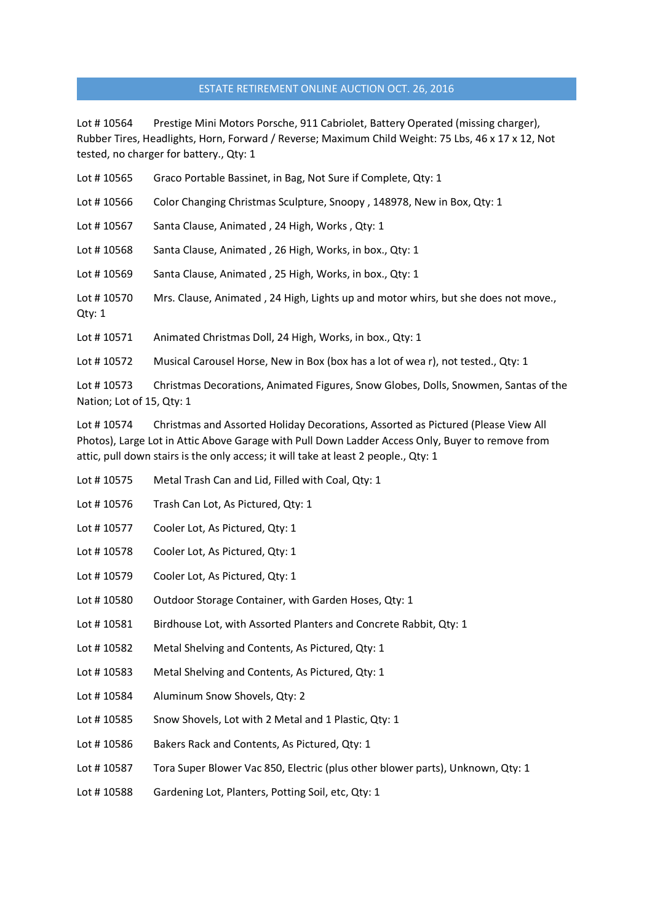Lot #10564 Prestige Mini Motors Porsche, 911 Cabriolet, Battery Operated (missing charger), Rubber Tires, Headlights, Horn, Forward / Reverse; Maximum Child Weight: 75 Lbs, 46 x 17 x 12, Not tested, no charger for battery., Qty: 1

- Lot # 10565 Graco Portable Bassinet, in Bag, Not Sure if Complete, Qty: 1
- Lot #10566 Color Changing Christmas Sculpture, Snoopy, 148978, New in Box, Qty: 1
- Lot #10567 Santa Clause, Animated, 24 High, Works, Qty: 1
- Lot #10568 Santa Clause, Animated, 26 High, Works, in box., Qty: 1
- Lot #10569 Santa Clause, Animated, 25 High, Works, in box., Qty: 1
- Lot #10570 Mrs. Clause, Animated, 24 High, Lights up and motor whirs, but she does not move., Qty: 1
- Lot #10571 Animated Christmas Doll, 24 High, Works, in box., Qty: 1
- Lot #10572 Musical Carousel Horse, New in Box (box has a lot of wea r), not tested., Qty: 1

Lot #10573 Christmas Decorations, Animated Figures, Snow Globes, Dolls, Snowmen, Santas of the Nation; Lot of 15, Qty: 1

Lot # 10574 Christmas and Assorted Holiday Decorations, Assorted as Pictured (Please View All Photos), Large Lot in Attic Above Garage with Pull Down Ladder Access Only, Buyer to remove from attic, pull down stairs is the only access; it will take at least 2 people., Qty: 1

- Lot # 10575 Metal Trash Can and Lid, Filled with Coal, Qty: 1
- Lot #10576 Trash Can Lot, As Pictured, Qty: 1
- Lot #10577 Cooler Lot, As Pictured, Qty: 1
- Lot #10578 Cooler Lot, As Pictured, Qty: 1
- Lot #10579 Cooler Lot, As Pictured, Qty: 1
- Lot #10580 Outdoor Storage Container, with Garden Hoses, Qty: 1
- Lot #10581 Birdhouse Lot, with Assorted Planters and Concrete Rabbit, Qty: 1
- Lot #10582 Metal Shelving and Contents, As Pictured, Qty: 1
- Lot #10583 Metal Shelving and Contents, As Pictured, Qty: 1
- Lot #10584 Aluminum Snow Shovels, Qty: 2
- Lot #10585 Snow Shovels, Lot with 2 Metal and 1 Plastic, Qty: 1
- Lot #10586 Bakers Rack and Contents, As Pictured, Qty: 1
- Lot #10587 Tora Super Blower Vac 850, Electric (plus other blower parts), Unknown, Qty: 1
- Lot #10588 Gardening Lot, Planters, Potting Soil, etc, Qty: 1